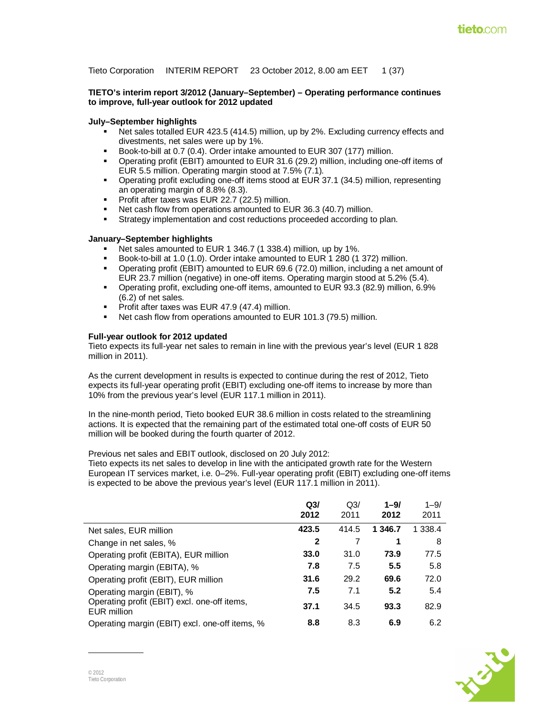Tieto Corporation INTERIM REPORT 23 October 2012, 8.00 am EET 1 (37)

### **TIETO's interim report 3/2012 (January–September) – Operating performance continues to improve, full-year outlook for 2012 updated**

### **July–September highlights**

- Net sales totalled EUR 423.5 (414.5) million, up by 2%. Excluding currency effects and divestments, net sales were up by 1%.
- Book-to-bill at 0.7 (0.4). Order intake amounted to EUR 307 (177) million.
- Operating profit (EBIT) amounted to EUR 31.6 (29.2) million, including one-off items of EUR 5.5 million. Operating margin stood at 7.5% (7.1).
- Operating profit excluding one-off items stood at EUR 37.1 (34.5) million, representing an operating margin of 8.8% (8.3).
- Profit after taxes was EUR 22.7 (22.5) million.
- Net cash flow from operations amounted to EUR 36.3 (40.7) million.
- Strategy implementation and cost reductions proceeded according to plan.

### **January–September highlights**

- Net sales amounted to EUR 1 346.7 (1 338.4) million, up by 1%.
- Book-to-bill at 1.0 (1.0). Order intake amounted to EUR 1 280 (1 372) million.
- Operating profit (EBIT) amounted to EUR 69.6 (72.0) million, including a net amount of EUR 23.7 million (negative) in one-off items. Operating margin stood at 5.2% (5.4).
- Operating profit, excluding one-off items, amounted to EUR 93.3 (82.9) million, 6.9% (6.2) of net sales.
- Profit after taxes was EUR 47.9 (47.4) million.
- Net cash flow from operations amounted to EUR 101.3 (79.5) million.

### **Full-year outlook for 2012 updated**

Tieto expects its full-year net sales to remain in line with the previous year's level (EUR 1 828 million in 2011).

As the current development in results is expected to continue during the rest of 2012, Tieto expects its full-year operating profit (EBIT) excluding one-off items to increase by more than 10% from the previous year's level (EUR 117.1 million in 2011).

In the nine-month period, Tieto booked EUR 38.6 million in costs related to the streamlining actions. It is expected that the remaining part of the estimated total one-off costs of EUR 50 million will be booked during the fourth quarter of 2012.

Previous net sales and EBIT outlook, disclosed on 20 July 2012:

Tieto expects its net sales to develop in line with the anticipated growth rate for the Western European IT services market, i.e. 0–2%. Full-year operating profit (EBIT) excluding one-off items is expected to be above the previous year's level (EUR 117.1 million in 2011).

|                                                             | Q <sub>3</sub><br>2012 | Q3/<br>2011 | $1 - 9/$<br>2012 | $1 - 9/$<br>2011 |
|-------------------------------------------------------------|------------------------|-------------|------------------|------------------|
| Net sales, EUR million                                      | 423.5                  | 414.5       | 1 346.7          | 1 338.4          |
| Change in net sales, %                                      | 2                      | 7           | 1                | 8                |
| Operating profit (EBITA), EUR million                       | 33.0                   | 31.0        | 73.9             | 77.5             |
| Operating margin (EBITA), %                                 | 7.8                    | 7.5         | 5.5              | 5.8              |
| Operating profit (EBIT), EUR million                        | 31.6                   | 29.2        | 69.6             | 72.0             |
| Operating margin (EBIT), %                                  | 7.5                    | 7.1         | 5.2              | 5.4              |
| Operating profit (EBIT) excl. one-off items,<br>EUR million | 37.1                   | 34.5        | 93.3             | 82.9             |
| Operating margin (EBIT) excl. one-off items, %              | 8.8                    | 8.3         | 6.9              | 6.2              |

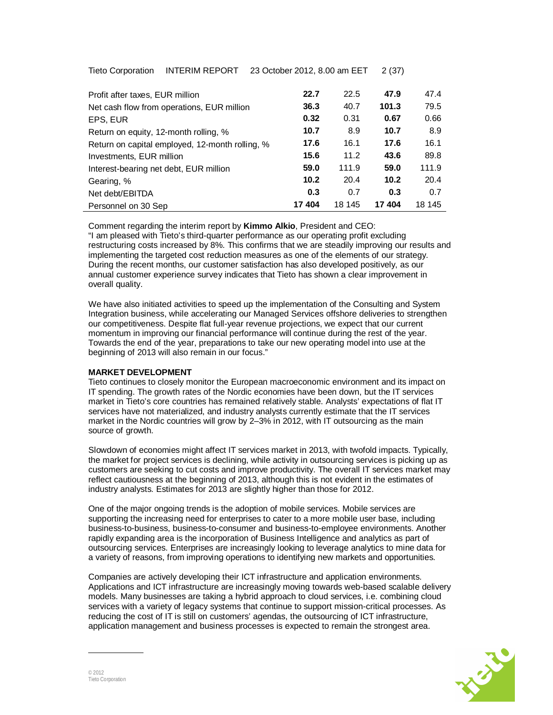Tieto Corporation INTERIM REPORT 23 October 2012, 8.00 am EET 2 (37)

| Profit after taxes, EUR million                 | 22.7  | 22.5   | 47.9  | 47.4   |
|-------------------------------------------------|-------|--------|-------|--------|
| Net cash flow from operations, EUR million      | 36.3  | 40.7   | 101.3 | 79.5   |
| EPS, EUR                                        | 0.32  | 0.31   | 0.67  | 0.66   |
| Return on equity, 12-month rolling, %           | 10.7  | 8.9    | 10.7  | 8.9    |
| Return on capital employed, 12-month rolling, % | 17.6  | 16.1   | 17.6  | 16.1   |
| Investments, EUR million                        | 15.6  | 11.2   | 43.6  | 89.8   |
| Interest-bearing net debt, EUR million          | 59.0  | 111.9  | 59.0  | 111.9  |
| Gearing, %                                      | 10.2  | 20.4   | 10.2  | 20.4   |
| Net debt/EBITDA                                 | 0.3   | 0.7    | 0.3   | 0.7    |
| Personnel on 30 Sep                             | 17404 | 18 145 | 17404 | 18 145 |

Comment regarding the interim report by **Kimmo Alkio**, President and CEO: "I am pleased with Tieto's third-quarter performance as our operating profit excluding restructuring costs increased by 8%. This confirms that we are steadily improving our results and implementing the targeted cost reduction measures as one of the elements of our strategy. During the recent months, our customer satisfaction has also developed positively, as our annual customer experience survey indicates that Tieto has shown a clear improvement in overall quality.

We have also initiated activities to speed up the implementation of the Consulting and System Integration business, while accelerating our Managed Services offshore deliveries to strengthen our competitiveness. Despite flat full-year revenue projections, we expect that our current momentum in improving our financial performance will continue during the rest of the year. Towards the end of the year, preparations to take our new operating model into use at the beginning of 2013 will also remain in our focus."

## **MARKET DEVELOPMENT**

Tieto continues to closely monitor the European macroeconomic environment and its impact on IT spending. The growth rates of the Nordic economies have been down, but the IT services market in Tieto's core countries has remained relatively stable. Analysts' expectations of flat IT services have not materialized, and industry analysts currently estimate that the IT services market in the Nordic countries will grow by 2–3% in 2012, with IT outsourcing as the main source of growth.

Slowdown of economies might affect IT services market in 2013, with twofold impacts. Typically, the market for project services is declining, while activity in outsourcing services is picking up as customers are seeking to cut costs and improve productivity. The overall IT services market may reflect cautiousness at the beginning of 2013, although this is not evident in the estimates of industry analysts. Estimates for 2013 are slightly higher than those for 2012.

One of the major ongoing trends is the adoption of mobile services. Mobile services are supporting the increasing need for enterprises to cater to a more mobile user base, including business-to-business, business-to-consumer and business-to-employee environments. Another rapidly expanding area is the incorporation of Business Intelligence and analytics as part of outsourcing services. Enterprises are increasingly looking to leverage analytics to mine data for a variety of reasons, from improving operations to identifying new markets and opportunities.

Companies are actively developing their ICT infrastructure and application environments. Applications and ICT infrastructure are increasingly moving towards web-based scalable delivery models. Many businesses are taking a hybrid approach to cloud services, i.e. combining cloud services with a variety of legacy systems that continue to support mission-critical processes. As reducing the cost of IT is still on customers' agendas, the outsourcing of ICT infrastructure, application management and business processes is expected to remain the strongest area.

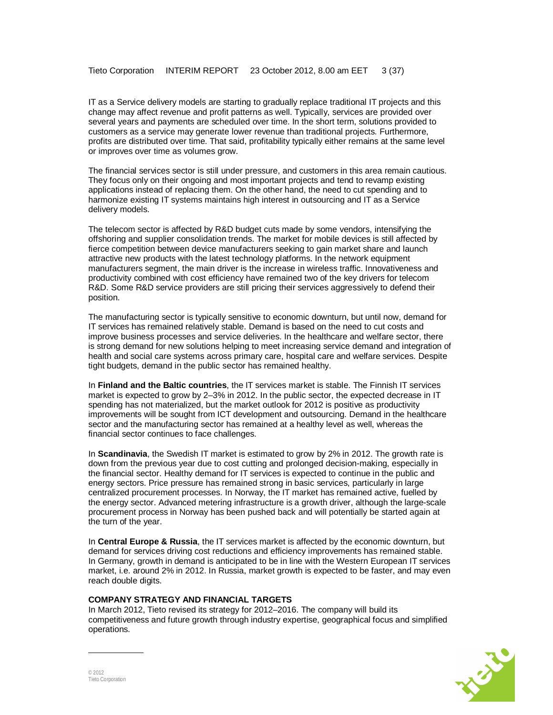IT as a Service delivery models are starting to gradually replace traditional IT projects and this change may affect revenue and profit patterns as well. Typically, services are provided over several years and payments are scheduled over time. In the short term, solutions provided to customers as a service may generate lower revenue than traditional projects. Furthermore, profits are distributed over time. That said, profitability typically either remains at the same level or improves over time as volumes grow.

The financial services sector is still under pressure, and customers in this area remain cautious. They focus only on their ongoing and most important projects and tend to revamp existing applications instead of replacing them. On the other hand, the need to cut spending and to harmonize existing IT systems maintains high interest in outsourcing and IT as a Service delivery models.

The telecom sector is affected by R&D budget cuts made by some vendors, intensifying the offshoring and supplier consolidation trends. The market for mobile devices is still affected by fierce competition between device manufacturers seeking to gain market share and launch attractive new products with the latest technology platforms. In the network equipment manufacturers segment, the main driver is the increase in wireless traffic. Innovativeness and productivity combined with cost efficiency have remained two of the key drivers for telecom R&D. Some R&D service providers are still pricing their services aggressively to defend their position.

The manufacturing sector is typically sensitive to economic downturn, but until now, demand for IT services has remained relatively stable. Demand is based on the need to cut costs and improve business processes and service deliveries. In the healthcare and welfare sector, there is strong demand for new solutions helping to meet increasing service demand and integration of health and social care systems across primary care, hospital care and welfare services. Despite tight budgets, demand in the public sector has remained healthy.

In **Finland and the Baltic countries**, the IT services market is stable. The Finnish IT services market is expected to grow by 2–3% in 2012. In the public sector, the expected decrease in IT spending has not materialized, but the market outlook for 2012 is positive as productivity improvements will be sought from ICT development and outsourcing. Demand in the healthcare sector and the manufacturing sector has remained at a healthy level as well, whereas the financial sector continues to face challenges.

In **Scandinavia**, the Swedish IT market is estimated to grow by 2% in 2012. The growth rate is down from the previous year due to cost cutting and prolonged decision-making, especially in the financial sector. Healthy demand for IT services is expected to continue in the public and energy sectors. Price pressure has remained strong in basic services, particularly in large centralized procurement processes. In Norway, the IT market has remained active, fuelled by the energy sector. Advanced metering infrastructure is a growth driver, although the large-scale procurement process in Norway has been pushed back and will potentially be started again at the turn of the year.

In **Central Europe & Russia**, the IT services market is affected by the economic downturn, but demand for services driving cost reductions and efficiency improvements has remained stable. In Germany, growth in demand is anticipated to be in line with the Western European IT services market, i.e. around 2% in 2012. In Russia, market growth is expected to be faster, and may even reach double digits.

#### **COMPANY STRATEGY AND FINANCIAL TARGETS**

In March 2012, Tieto revised its strategy for 2012–2016. The company will build its competitiveness and future growth through industry expertise, geographical focus and simplified operations.

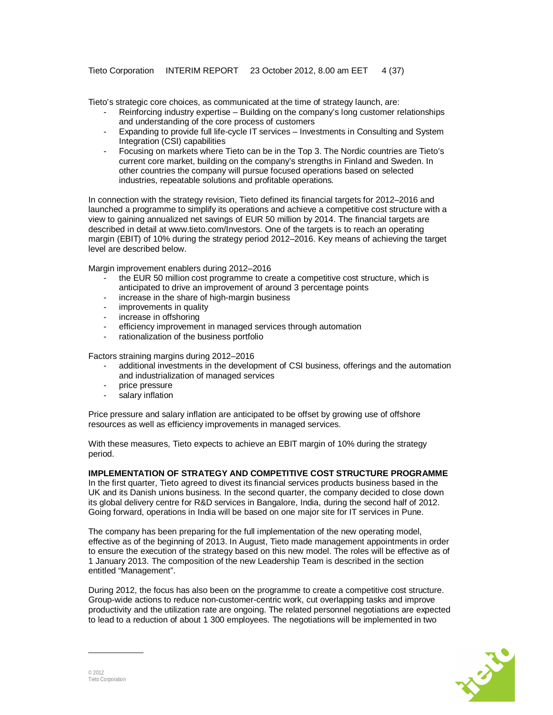Tieto's strategic core choices, as communicated at the time of strategy launch, are:

- Reinforcing industry expertise Building on the company's long customer relationships and understanding of the core process of customers
- Expanding to provide full life-cycle IT services Investments in Consulting and System Integration (CSI) capabilities
- Focusing on markets where Tieto can be in the Top 3. The Nordic countries are Tieto's current core market, building on the company's strengths in Finland and Sweden. In other countries the company will pursue focused operations based on selected industries, repeatable solutions and profitable operations.

In connection with the strategy revision, Tieto defined its financial targets for 2012–2016 and launched a programme to simplify its operations and achieve a competitive cost structure with a view to gaining annualized net savings of EUR 50 million by 2014. The financial targets are described in detail at www.tieto.com/Investors. One of the targets is to reach an operating margin (EBIT) of 10% during the strategy period 2012–2016. Key means of achieving the target level are described below.

Margin improvement enablers during 2012–2016

- the EUR 50 million cost programme to create a competitive cost structure, which is anticipated to drive an improvement of around 3 percentage points
- increase in the share of high-margin business
- improvements in quality
- increase in offshoring
- efficiency improvement in managed services through automation
- rationalization of the business portfolio

Factors straining margins during 2012–2016

- additional investments in the development of CSI business, offerings and the automation and industrialization of managed services
- price pressure
- salary inflation

Price pressure and salary inflation are anticipated to be offset by growing use of offshore resources as well as efficiency improvements in managed services.

With these measures, Tieto expects to achieve an EBIT margin of 10% during the strategy period.

## **IMPLEMENTATION OF STRATEGY AND COMPETITIVE COST STRUCTURE PROGRAMME**

In the first quarter, Tieto agreed to divest its financial services products business based in the UK and its Danish unions business. In the second quarter, the company decided to close down its global delivery centre for R&D services in Bangalore, India, during the second half of 2012. Going forward, operations in India will be based on one major site for IT services in Pune.

The company has been preparing for the full implementation of the new operating model, effective as of the beginning of 2013. In August, Tieto made management appointments in order to ensure the execution of the strategy based on this new model. The roles will be effective as of 1 January 2013. The composition of the new Leadership Team is described in the section entitled "Management".

During 2012, the focus has also been on the programme to create a competitive cost structure. Group-wide actions to reduce non-customer-centric work, cut overlapping tasks and improve productivity and the utilization rate are ongoing. The related personnel negotiations are expected to lead to a reduction of about 1 300 employees. The negotiations will be implemented in two

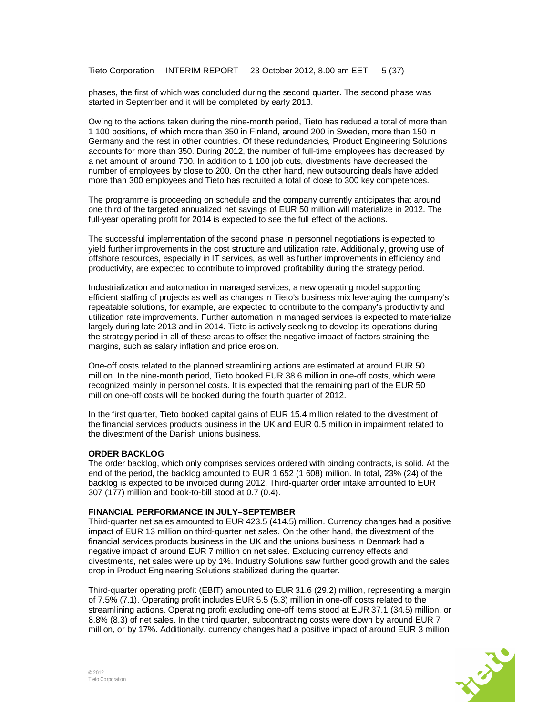phases, the first of which was concluded during the second quarter. The second phase was started in September and it will be completed by early 2013.

Owing to the actions taken during the nine-month period, Tieto has reduced a total of more than 1 100 positions, of which more than 350 in Finland, around 200 in Sweden, more than 150 in Germany and the rest in other countries. Of these redundancies, Product Engineering Solutions accounts for more than 350. During 2012, the number of full-time employees has decreased by a net amount of around 700. In addition to 1 100 job cuts, divestments have decreased the number of employees by close to 200. On the other hand, new outsourcing deals have added more than 300 employees and Tieto has recruited a total of close to 300 key competences.

The programme is proceeding on schedule and the company currently anticipates that around one third of the targeted annualized net savings of EUR 50 million will materialize in 2012. The full-year operating profit for 2014 is expected to see the full effect of the actions.

The successful implementation of the second phase in personnel negotiations is expected to yield further improvements in the cost structure and utilization rate. Additionally, growing use of offshore resources, especially in IT services, as well as further improvements in efficiency and productivity, are expected to contribute to improved profitability during the strategy period.

Industrialization and automation in managed services, a new operating model supporting efficient staffing of projects as well as changes in Tieto's business mix leveraging the company's repeatable solutions, for example, are expected to contribute to the company's productivity and utilization rate improvements. Further automation in managed services is expected to materialize largely during late 2013 and in 2014. Tieto is actively seeking to develop its operations during the strategy period in all of these areas to offset the negative impact of factors straining the margins, such as salary inflation and price erosion.

One-off costs related to the planned streamlining actions are estimated at around EUR 50 million. In the nine-month period, Tieto booked EUR 38.6 million in one-off costs, which were recognized mainly in personnel costs. It is expected that the remaining part of the EUR 50 million one-off costs will be booked during the fourth quarter of 2012.

In the first quarter, Tieto booked capital gains of EUR 15.4 million related to the divestment of the financial services products business in the UK and EUR 0.5 million in impairment related to the divestment of the Danish unions business.

#### **ORDER BACKLOG**

The order backlog, which only comprises services ordered with binding contracts, is solid. At the end of the period, the backlog amounted to EUR 1 652 (1 608) million. In total, 23% (24) of the backlog is expected to be invoiced during 2012. Third-quarter order intake amounted to EUR 307 (177) million and book-to-bill stood at 0.7 (0.4).

#### **FINANCIAL PERFORMANCE IN JULY–SEPTEMBER**

Third-quarter net sales amounted to EUR 423.5 (414.5) million. Currency changes had a positive impact of EUR 13 million on third-quarter net sales. On the other hand, the divestment of the financial services products business in the UK and the unions business in Denmark had a negative impact of around EUR 7 million on net sales. Excluding currency effects and divestments, net sales were up by 1%. Industry Solutions saw further good growth and the sales drop in Product Engineering Solutions stabilized during the quarter.

Third-quarter operating profit (EBIT) amounted to EUR 31.6 (29.2) million, representing a margin of 7.5% (7.1). Operating profit includes EUR 5.5 (5.3) million in one-off costs related to the streamlining actions. Operating profit excluding one-off items stood at EUR 37.1 (34.5) million, or 8.8% (8.3) of net sales. In the third quarter, subcontracting costs were down by around EUR 7 million, or by 17%. Additionally, currency changes had a positive impact of around EUR 3 million

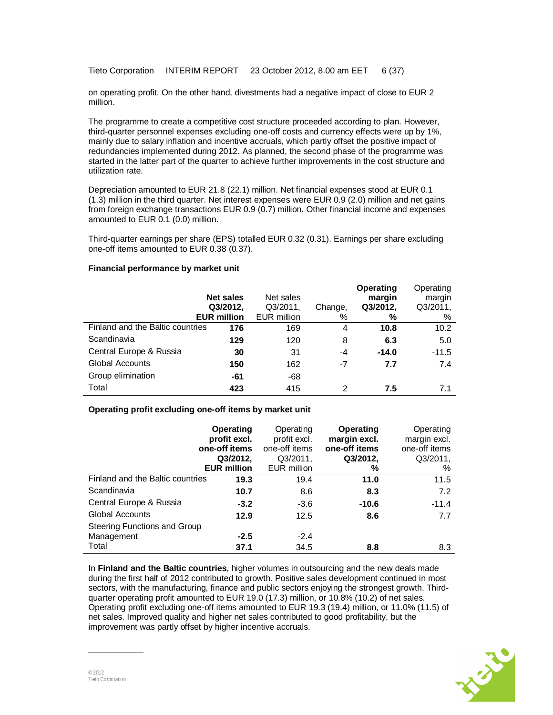Tieto Corporation INTERIM REPORT 23 October 2012, 8.00 am EET 6 (37)

on operating profit. On the other hand, divestments had a negative impact of close to EUR 2 million.

The programme to create a competitive cost structure proceeded according to plan. However, third-quarter personnel expenses excluding one-off costs and currency effects were up by 1%, mainly due to salary inflation and incentive accruals, which partly offset the positive impact of redundancies implemented during 2012. As planned, the second phase of the programme was started in the latter part of the quarter to achieve further improvements in the cost structure and utilization rate.

Depreciation amounted to EUR 21.8 (22.1) million. Net financial expenses stood at EUR 0.1 (1.3) million in the third quarter. Net interest expenses were EUR 0.9 (2.0) million and net gains from foreign exchange transactions EUR 0.9 (0.7) million. Other financial income and expenses amounted to EUR 0.1 (0.0) million.

Third-quarter earnings per share (EPS) totalled EUR 0.32 (0.31). Earnings per share excluding one-off items amounted to EUR 0.38 (0.37).

### **Financial performance by market unit**

|                                  | <b>Net sales</b><br>Q3/2012,<br><b>EUR million</b> | Net sales<br>Q3/2011,<br>EUR million | Change,<br>% | <b>Operating</b><br>margin<br>Q3/2012,<br>℅ | Operating<br>margin<br>Q3/2011,<br>% |
|----------------------------------|----------------------------------------------------|--------------------------------------|--------------|---------------------------------------------|--------------------------------------|
| Finland and the Baltic countries | 176                                                | 169                                  | 4            | 10.8                                        | 10.2                                 |
| Scandinavia                      | 129                                                | 120                                  | 8            | 6.3                                         | 5.0                                  |
| Central Europe & Russia          | 30                                                 | 31                                   | -4           | $-14.0$                                     | $-11.5$                              |
| Global Accounts                  | 150                                                | 162                                  | -7           | 7.7                                         | 7.4                                  |
| Group elimination                | -61                                                | -68                                  |              |                                             |                                      |
| Total                            | 423                                                | 415                                  | 2            | 7.5                                         | 7.1                                  |

## **Operating profit excluding one-off items by market unit**

|                                  | <b>Operating</b><br>profit excl.<br>one-off items<br>Q3/2012,<br><b>EUR million</b> | Operating<br>profit excl.<br>one-off items<br>Q3/2011,<br>EUR million | <b>Operating</b><br>margin excl.<br>one-off items<br>Q3/2012,<br>% | Operating<br>margin excl.<br>one-off items<br>Q3/2011,<br>$\%$ |
|----------------------------------|-------------------------------------------------------------------------------------|-----------------------------------------------------------------------|--------------------------------------------------------------------|----------------------------------------------------------------|
| Finland and the Baltic countries | 19.3                                                                                | 19.4                                                                  | 11.0                                                               | 11.5                                                           |
| Scandinavia                      | 10.7                                                                                | 8.6                                                                   | 8.3                                                                | 7.2                                                            |
| Central Europe & Russia          | $-3.2$                                                                              | $-3.6$                                                                | $-10.6$                                                            | $-11.4$                                                        |
| <b>Global Accounts</b>           | 12.9                                                                                | 12.5                                                                  | 8.6                                                                | 7.7                                                            |
| Steering Functions and Group     |                                                                                     |                                                                       |                                                                    |                                                                |
| Management                       | $-2.5$                                                                              | $-2.4$                                                                |                                                                    |                                                                |
| Total                            | 37.1                                                                                | 34.5                                                                  | 8.8                                                                | 8.3                                                            |

In **Finland and the Baltic countries**, higher volumes in outsourcing and the new deals made during the first half of 2012 contributed to growth. Positive sales development continued in most sectors, with the manufacturing, finance and public sectors enjoying the strongest growth. Thirdquarter operating profit amounted to EUR 19.0 (17.3) million, or 10.8% (10.2) of net sales. Operating profit excluding one-off items amounted to EUR 19.3 (19.4) million, or 11.0% (11.5) of net sales. Improved quality and higher net sales contributed to good profitability, but the improvement was partly offset by higher incentive accruals.

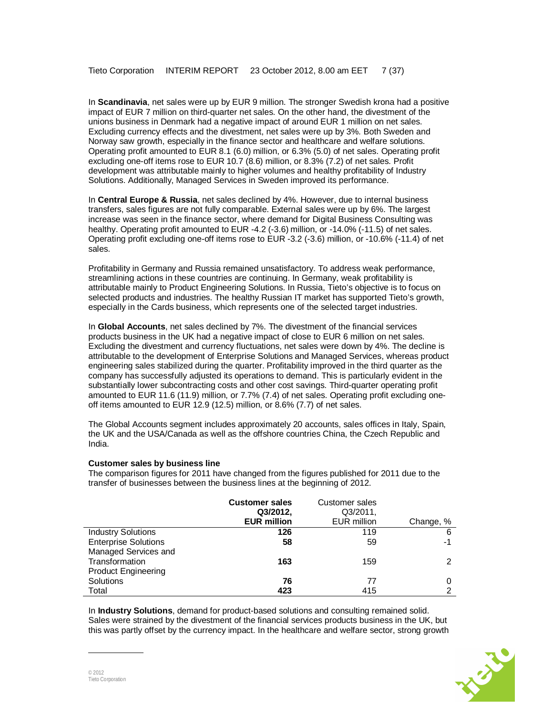In **Scandinavia**, net sales were up by EUR 9 million. The stronger Swedish krona had a positive impact of EUR 7 million on third-quarter net sales. On the other hand, the divestment of the unions business in Denmark had a negative impact of around EUR 1 million on net sales. Excluding currency effects and the divestment, net sales were up by 3%. Both Sweden and Norway saw growth, especially in the finance sector and healthcare and welfare solutions. Operating profit amounted to EUR 8.1 (6.0) million, or 6.3% (5.0) of net sales. Operating profit excluding one-off items rose to EUR 10.7 (8.6) million, or 8.3% (7.2) of net sales. Profit development was attributable mainly to higher volumes and healthy profitability of Industry Solutions. Additionally, Managed Services in Sweden improved its performance.

In **Central Europe & Russia**, net sales declined by 4%. However, due to internal business transfers, sales figures are not fully comparable. External sales were up by 6%. The largest increase was seen in the finance sector, where demand for Digital Business Consulting was healthy. Operating profit amounted to EUR -4.2 (-3.6) million, or -14.0% (-11.5) of net sales. Operating profit excluding one-off items rose to EUR -3.2 (-3.6) million, or -10.6% (-11.4) of net sales.

Profitability in Germany and Russia remained unsatisfactory. To address weak performance, streamlining actions in these countries are continuing. In Germany, weak profitability is attributable mainly to Product Engineering Solutions. In Russia, Tieto's objective is to focus on selected products and industries. The healthy Russian IT market has supported Tieto's growth, especially in the Cards business, which represents one of the selected target industries.

In **Global Accounts**, net sales declined by 7%. The divestment of the financial services products business in the UK had a negative impact of close to EUR 6 million on net sales. Excluding the divestment and currency fluctuations, net sales were down by 4%. The decline is attributable to the development of Enterprise Solutions and Managed Services, whereas product engineering sales stabilized during the quarter. Profitability improved in the third quarter as the company has successfully adjusted its operations to demand. This is particularly evident in the substantially lower subcontracting costs and other cost savings. Third-quarter operating profit amounted to EUR 11.6 (11.9) million, or 7.7% (7.4) of net sales. Operating profit excluding oneoff items amounted to EUR 12.9 (12.5) million, or 8.6% (7.7) of net sales.

The Global Accounts segment includes approximately 20 accounts, sales offices in Italy, Spain, the UK and the USA/Canada as well as the offshore countries China, the Czech Republic and India.

#### **Customer sales by business line**

The comparison figures for 2011 have changed from the figures published for 2011 due to the transfer of businesses between the business lines at the beginning of 2012.

|                             | <b>Customer sales</b><br>Q3/2012,<br><b>EUR million</b> | Customer sales<br>Q3/2011,<br><b>EUR</b> million | Change, % |
|-----------------------------|---------------------------------------------------------|--------------------------------------------------|-----------|
| <b>Industry Solutions</b>   | 126                                                     | 119                                              | 6         |
| <b>Enterprise Solutions</b> | 58                                                      | 59                                               | -1        |
| Managed Services and        |                                                         |                                                  |           |
| Transformation              | 163                                                     | 159                                              |           |
| <b>Product Engineering</b>  |                                                         |                                                  |           |
| Solutions                   | 76                                                      | 77                                               |           |
| Total                       | 423                                                     | 415                                              | ⌒         |

In **Industry Solutions**, demand for product-based solutions and consulting remained solid. Sales were strained by the divestment of the financial services products business in the UK, but this was partly offset by the currency impact. In the healthcare and welfare sector, strong growth

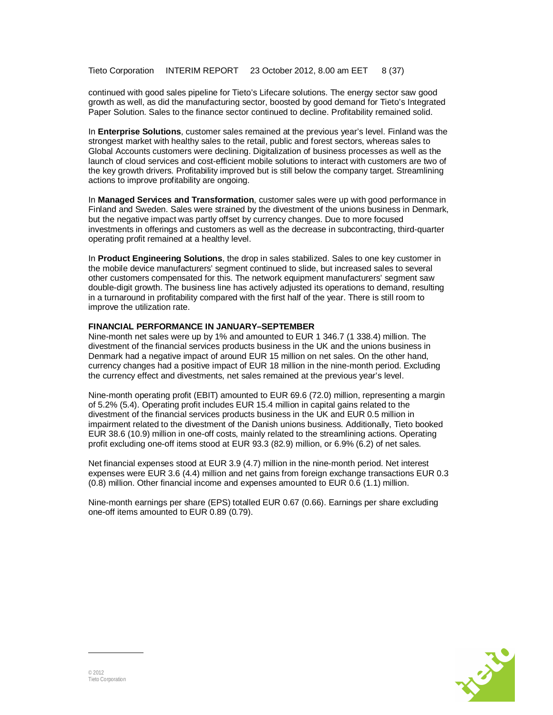continued with good sales pipeline for Tieto's Lifecare solutions. The energy sector saw good growth as well, as did the manufacturing sector, boosted by good demand for Tieto's Integrated Paper Solution. Sales to the finance sector continued to decline. Profitability remained solid.

In **Enterprise Solutions**, customer sales remained at the previous year's level. Finland was the strongest market with healthy sales to the retail, public and forest sectors, whereas sales to Global Accounts customers were declining. Digitalization of business processes as well as the launch of cloud services and cost-efficient mobile solutions to interact with customers are two of the key growth drivers. Profitability improved but is still below the company target. Streamlining actions to improve profitability are ongoing.

In **Managed Services and Transformation**, customer sales were up with good performance in Finland and Sweden. Sales were strained by the divestment of the unions business in Denmark, but the negative impact was partly offset by currency changes. Due to more focused investments in offerings and customers as well as the decrease in subcontracting, third-quarter operating profit remained at a healthy level.

In **Product Engineering Solutions**, the drop in sales stabilized. Sales to one key customer in the mobile device manufacturers' segment continued to slide, but increased sales to several other customers compensated for this. The network equipment manufacturers' segment saw double-digit growth. The business line has actively adjusted its operations to demand, resulting in a turnaround in profitability compared with the first half of the year. There is still room to improve the utilization rate.

#### **FINANCIAL PERFORMANCE IN JANUARY–SEPTEMBER**

Nine-month net sales were up by 1% and amounted to EUR 1 346.7 (1 338.4) million. The divestment of the financial services products business in the UK and the unions business in Denmark had a negative impact of around EUR 15 million on net sales. On the other hand, currency changes had a positive impact of EUR 18 million in the nine-month period. Excluding the currency effect and divestments, net sales remained at the previous year's level.

Nine-month operating profit (EBIT) amounted to EUR 69.6 (72.0) million, representing a margin of 5.2% (5.4). Operating profit includes EUR 15.4 million in capital gains related to the divestment of the financial services products business in the UK and EUR 0.5 million in impairment related to the divestment of the Danish unions business. Additionally, Tieto booked EUR 38.6 (10.9) million in one-off costs, mainly related to the streamlining actions. Operating profit excluding one-off items stood at EUR 93.3 (82.9) million, or 6.9% (6.2) of net sales.

Net financial expenses stood at EUR 3.9 (4.7) million in the nine-month period. Net interest expenses were EUR 3.6 (4.4) million and net gains from foreign exchange transactions EUR 0.3 (0.8) million. Other financial income and expenses amounted to EUR 0.6 (1.1) million.

Nine-month earnings per share (EPS) totalled EUR 0.67 (0.66). Earnings per share excluding one-off items amounted to EUR 0.89 (0.79).

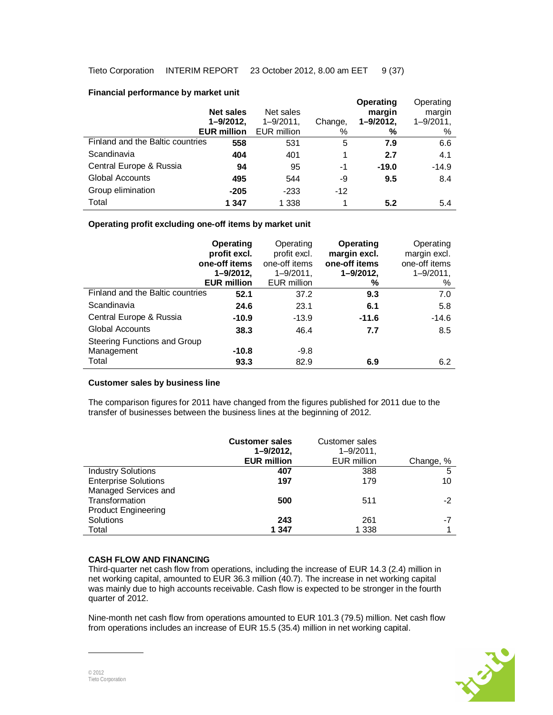### **Financial performance by market unit**

|                                  | <b>Net sales</b><br>$1 - 9/2012$<br><b>EUR million</b> | Net sales<br>$1 - 9/2011$ ,<br>EUR million | Change,<br>% | <b>Operating</b><br>margin<br>1-9/2012,<br>% | Operating<br>margin<br>$1 - 9/2011$ ,<br>% |
|----------------------------------|--------------------------------------------------------|--------------------------------------------|--------------|----------------------------------------------|--------------------------------------------|
| Finland and the Baltic countries | 558                                                    | 531                                        | 5            | 7.9                                          | 6.6                                        |
| Scandinavia                      | 404                                                    | 401                                        |              | 2.7                                          | 4.1                                        |
| Central Europe & Russia          | 94                                                     | 95                                         | -1           | $-19.0$                                      | $-14.9$                                    |
| <b>Global Accounts</b>           | 495                                                    | 544                                        | -9           | 9.5                                          | 8.4                                        |
| Group elimination                | $-205$                                                 | $-233$                                     | $-12$        |                                              |                                            |
| Total                            | 1 3 4 7                                                | 1 3 3 8                                    |              | 5.2                                          | 5.4                                        |

### **Operating profit excluding one-off items by market unit**

|                                  | Operating<br>profit excl.<br>one-off items<br>$1 - 9/2012$ ,<br><b>EUR million</b> | Operating<br>profit excl.<br>one-off items<br>$1 - 9/2011$ ,<br><b>EUR</b> million | Operating<br>margin excl.<br>one-off items<br>$1 - 9/2012$ ,<br>℅ | Operating<br>margin excl.<br>one-off items<br>$1 - 9/2011$ ,<br>% |
|----------------------------------|------------------------------------------------------------------------------------|------------------------------------------------------------------------------------|-------------------------------------------------------------------|-------------------------------------------------------------------|
| Finland and the Baltic countries | 52.1                                                                               | 37.2                                                                               | 9.3                                                               | 7.0                                                               |
| Scandinavia                      | 24.6                                                                               | 23.1                                                                               | 6.1                                                               | 5.8                                                               |
| Central Europe & Russia          | $-10.9$                                                                            | $-13.9$                                                                            | $-11.6$                                                           | $-14.6$                                                           |
| <b>Global Accounts</b>           | 38.3                                                                               | 46.4                                                                               | 7.7                                                               | 8.5                                                               |
| Steering Functions and Group     |                                                                                    |                                                                                    |                                                                   |                                                                   |
| Management                       | -10.8                                                                              | $-9.8$                                                                             |                                                                   |                                                                   |
| Total                            | 93.3                                                                               | 82.9                                                                               | 6.9                                                               | 6.2                                                               |

#### **Customer sales by business line**

The comparison figures for 2011 have changed from the figures published for 2011 due to the transfer of businesses between the business lines at the beginning of 2012.

|                             | <b>Customer sales</b><br>$1 - 9/2012$<br><b>EUR million</b> | Customer sales<br>$1 - 9/2011$ ,<br><b>EUR</b> million | Change, % |
|-----------------------------|-------------------------------------------------------------|--------------------------------------------------------|-----------|
| <b>Industry Solutions</b>   | 407                                                         | 388                                                    | 5         |
| <b>Enterprise Solutions</b> | 197                                                         | 179                                                    | 10        |
| Managed Services and        |                                                             |                                                        |           |
| Transformation              | 500                                                         | 511                                                    | $-2$      |
| <b>Product Engineering</b>  |                                                             |                                                        |           |
| Solutions                   | 243                                                         | 261                                                    | -7        |
| Total                       | 1 347                                                       | 1 3 3 8                                                | 4         |

## **CASH FLOW AND FINANCING**

Third-quarter net cash flow from operations, including the increase of EUR 14.3 (2.4) million in net working capital, amounted to EUR 36.3 million (40.7). The increase in net working capital was mainly due to high accounts receivable. Cash flow is expected to be stronger in the fourth quarter of 2012.

Nine-month net cash flow from operations amounted to EUR 101.3 (79.5) million. Net cash flow from operations includes an increase of EUR 15.5 (35.4) million in net working capital.

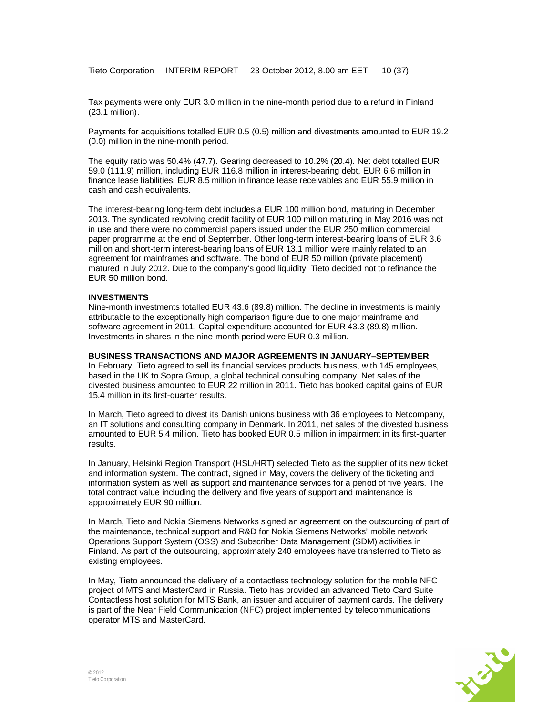Tax payments were only EUR 3.0 million in the nine-month period due to a refund in Finland (23.1 million).

Payments for acquisitions totalled EUR 0.5 (0.5) million and divestments amounted to EUR 19.2 (0.0) million in the nine-month period.

The equity ratio was 50.4% (47.7). Gearing decreased to 10.2% (20.4). Net debt totalled EUR 59.0 (111.9) million, including EUR 116.8 million in interest-bearing debt, EUR 6.6 million in finance lease liabilities, EUR 8.5 million in finance lease receivables and EUR 55.9 million in cash and cash equivalents.

The interest-bearing long-term debt includes a EUR 100 million bond, maturing in December 2013. The syndicated revolving credit facility of EUR 100 million maturing in May 2016 was not in use and there were no commercial papers issued under the EUR 250 million commercial paper programme at the end of September. Other long-term interest-bearing loans of EUR 3.6 million and short-term interest-bearing loans of EUR 13.1 million were mainly related to an agreement for mainframes and software. The bond of EUR 50 million (private placement) matured in July 2012. Due to the company's good liquidity, Tieto decided not to refinance the EUR 50 million bond.

#### **INVESTMENTS**

Nine-month investments totalled EUR 43.6 (89.8) million. The decline in investments is mainly attributable to the exceptionally high comparison figure due to one major mainframe and software agreement in 2011. Capital expenditure accounted for EUR 43.3 (89.8) million. Investments in shares in the nine-month period were EUR 0.3 million.

#### **BUSINESS TRANSACTIONS AND MAJOR AGREEMENTS IN JANUARY–SEPTEMBER**

In February, Tieto agreed to sell its financial services products business, with 145 employees, based in the UK to Sopra Group, a global technical consulting company. Net sales of the divested business amounted to EUR 22 million in 2011. Tieto has booked capital gains of EUR 15.4 million in its first-quarter results.

In March, Tieto agreed to divest its Danish unions business with 36 employees to Netcompany, an IT solutions and consulting company in Denmark. In 2011, net sales of the divested business amounted to EUR 5.4 million. Tieto has booked EUR 0.5 million in impairment in its first-quarter results.

In January, Helsinki Region Transport (HSL/HRT) selected Tieto as the supplier of its new ticket and information system. The contract, signed in May, covers the delivery of the ticketing and information system as well as support and maintenance services for a period of five years. The total contract value including the delivery and five years of support and maintenance is approximately EUR 90 million.

In March, Tieto and Nokia Siemens Networks signed an agreement on the outsourcing of part of the maintenance, technical support and R&D for Nokia Siemens Networks' mobile network Operations Support System (OSS) and Subscriber Data Management (SDM) activities in Finland. As part of the outsourcing, approximately 240 employees have transferred to Tieto as existing employees.

In May, Tieto announced the delivery of a contactless technology solution for the mobile NFC project of MTS and MasterCard in Russia. Tieto has provided an advanced Tieto Card Suite Contactless host solution for MTS Bank, an issuer and acquirer of payment cards. The delivery is part of the Near Field Communication (NFC) project implemented by telecommunications operator MTS and MasterCard.

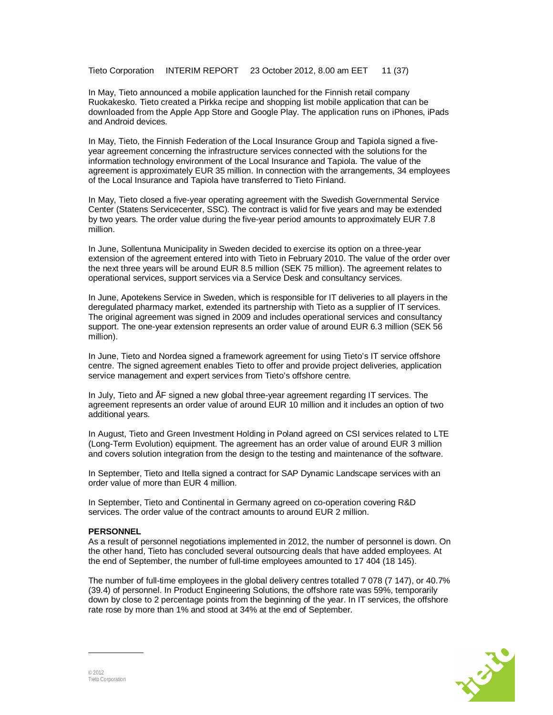Tieto Corporation INTERIM REPORT 23 October 2012, 8.00 am EET 11 (37)

In May, Tieto announced a mobile application launched for the Finnish retail company Ruokakesko. Tieto created a Pirkka recipe and shopping list mobile application that can be downloaded from the Apple App Store and Google Play. The application runs on iPhones, iPads and Android devices.

In May, Tieto, the Finnish Federation of the Local Insurance Group and Tapiola signed a fiveyear agreement concerning the infrastructure services connected with the solutions for the information technology environment of the Local Insurance and Tapiola. The value of the agreement is approximately EUR 35 million. In connection with the arrangements, 34 employees of the Local Insurance and Tapiola have transferred to Tieto Finland.

In May, Tieto closed a five-year operating agreement with the Swedish Governmental Service Center (Statens Servicecenter, SSC). The contract is valid for five years and may be extended by two years. The order value during the five-year period amounts to approximately EUR 7.8 million.

In June, Sollentuna Municipality in Sweden decided to exercise its option on a three-year extension of the agreement entered into with Tieto in February 2010. The value of the order over the next three years will be around EUR 8.5 million (SEK 75 million). The agreement relates to operational services, support services via a Service Desk and consultancy services.

In June, Apotekens Service in Sweden, which is responsible for IT deliveries to all players in the deregulated pharmacy market, extended its partnership with Tieto as a supplier of IT services. The original agreement was signed in 2009 and includes operational services and consultancy support. The one-year extension represents an order value of around EUR 6.3 million (SEK 56 million).

In June, Tieto and Nordea signed a framework agreement for using Tieto's IT service offshore centre. The signed agreement enables Tieto to offer and provide project deliveries, application service management and expert services from Tieto's offshore centre.

In July, Tieto and ÅF signed a new global three-year agreement regarding IT services. The agreement represents an order value of around EUR 10 million and it includes an option of two additional years.

In August, Tieto and Green Investment Holding in Poland agreed on CSI services related to LTE (Long-Term Evolution) equipment. The agreement has an order value of around EUR 3 million and covers solution integration from the design to the testing and maintenance of the software.

In September, Tieto and Itella signed a contract for SAP Dynamic Landscape services with an order value of more than EUR 4 million.

In September, Tieto and Continental in Germany agreed on co-operation covering R&D services. The order value of the contract amounts to around EUR 2 million.

#### **PERSONNEL**

As a result of personnel negotiations implemented in 2012, the number of personnel is down. On the other hand, Tieto has concluded several outsourcing deals that have added employees. At the end of September, the number of full-time employees amounted to 17 404 (18 145).

The number of full-time employees in the global delivery centres totalled 7 078 (7 147), or 40.7% (39.4) of personnel. In Product Engineering Solutions, the offshore rate was 59%, temporarily down by close to 2 percentage points from the beginning of the year. In IT services, the offshore rate rose by more than 1% and stood at 34% at the end of September.

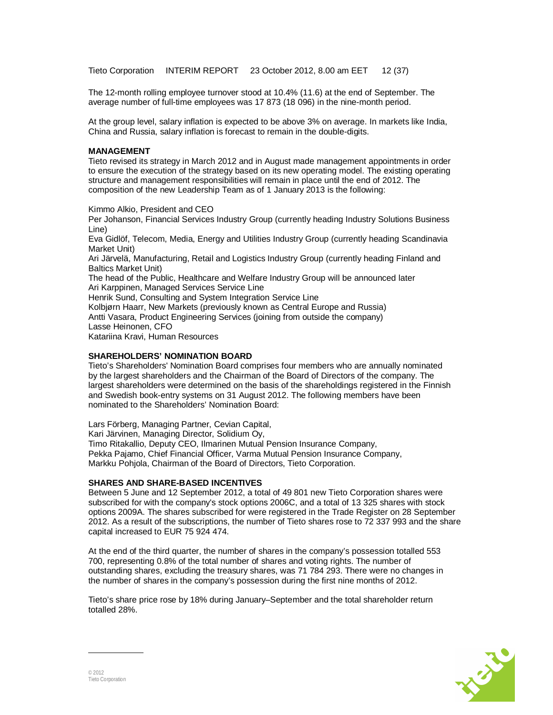Tieto Corporation INTERIM REPORT 23 October 2012, 8.00 am EET 12 (37)

The 12-month rolling employee turnover stood at 10.4% (11.6) at the end of September. The average number of full-time employees was 17 873 (18 096) in the nine-month period.

At the group level, salary inflation is expected to be above 3% on average. In markets like India, China and Russia, salary inflation is forecast to remain in the double-digits.

#### **MANAGEMENT**

Tieto revised its strategy in March 2012 and in August made management appointments in order to ensure the execution of the strategy based on its new operating model. The existing operating structure and management responsibilities will remain in place until the end of 2012. The composition of the new Leadership Team as of 1 January 2013 is the following:

Kimmo Alkio, President and CEO

Per Johanson, Financial Services Industry Group (currently heading Industry Solutions Business Line)

Eva Gidlöf, Telecom, Media, Energy and Utilities Industry Group (currently heading Scandinavia Market Unit)

Ari Järvelä, Manufacturing, Retail and Logistics Industry Group (currently heading Finland and Baltics Market Unit)

The head of the Public, Healthcare and Welfare Industry Group will be announced later Ari Karppinen, Managed Services Service Line

Henrik Sund, Consulting and System Integration Service Line

Kolbjørn Haarr, New Markets (previously known as Central Europe and Russia) Antti Vasara, Product Engineering Services (joining from outside the company) Lasse Heinonen, CFO

Katariina Kravi, Human Resources

#### **SHAREHOLDERS' NOMINATION BOARD**

Tieto's Shareholders' Nomination Board comprises four members who are annually nominated by the largest shareholders and the Chairman of the Board of Directors of the company. The largest shareholders were determined on the basis of the shareholdings registered in the Finnish and Swedish book-entry systems on 31 August 2012. The following members have been nominated to the Shareholders' Nomination Board:

Lars Förberg, Managing Partner, Cevian Capital,

Kari Järvinen, Managing Director, Solidium Oy,

Timo Ritakallio, Deputy CEO, Ilmarinen Mutual Pension Insurance Company,

Pekka Pajamo, Chief Financial Officer, Varma Mutual Pension Insurance Company, Markku Pohjola, Chairman of the Board of Directors, Tieto Corporation.

#### **SHARES AND SHARE-BASED INCENTIVES**

Between 5 June and 12 September 2012, a total of 49 801 new Tieto Corporation shares were subscribed for with the company's stock options 2006C, and a total of 13 325 shares with stock options 2009A. The shares subscribed for were registered in the Trade Register on 28 September 2012. As a result of the subscriptions, the number of Tieto shares rose to 72 337 993 and the share capital increased to EUR 75 924 474.

At the end of the third quarter, the number of shares in the company's possession totalled 553 700, representing 0.8% of the total number of shares and voting rights. The number of outstanding shares, excluding the treasury shares, was 71 784 293. There were no changes in the number of shares in the company's possession during the first nine months of 2012.

Tieto's share price rose by 18% during January–September and the total shareholder return totalled 28%.

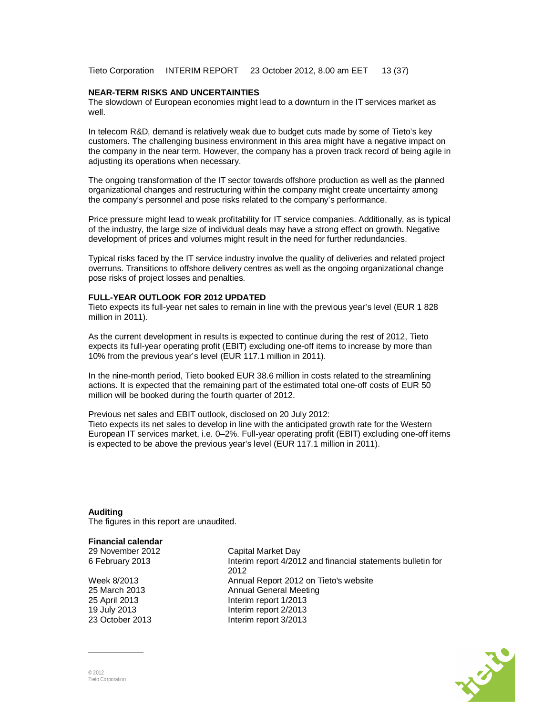Tieto Corporation INTERIM REPORT 23 October 2012, 8.00 am EET 13 (37)

#### **NEAR-TERM RISKS AND UNCERTAINTIES**

The slowdown of European economies might lead to a downturn in the IT services market as well.

In telecom R&D, demand is relatively weak due to budget cuts made by some of Tieto's key customers. The challenging business environment in this area might have a negative impact on the company in the near term. However, the company has a proven track record of being agile in adjusting its operations when necessary.

The ongoing transformation of the IT sector towards offshore production as well as the planned organizational changes and restructuring within the company might create uncertainty among the company's personnel and pose risks related to the company's performance.

Price pressure might lead to weak profitability for IT service companies. Additionally, as is typical of the industry, the large size of individual deals may have a strong effect on growth. Negative development of prices and volumes might result in the need for further redundancies.

Typical risks faced by the IT service industry involve the quality of deliveries and related project overruns. Transitions to offshore delivery centres as well as the ongoing organizational change pose risks of project losses and penalties.

#### **FULL-YEAR OUTLOOK FOR 2012 UPDATED**

Tieto expects its full-year net sales to remain in line with the previous year's level (EUR 1 828 million in 2011).

As the current development in results is expected to continue during the rest of 2012, Tieto expects its full-year operating profit (EBIT) excluding one-off items to increase by more than 10% from the previous year's level (EUR 117.1 million in 2011).

In the nine-month period, Tieto booked EUR 38.6 million in costs related to the streamlining actions. It is expected that the remaining part of the estimated total one-off costs of EUR 50 million will be booked during the fourth quarter of 2012.

Previous net sales and EBIT outlook, disclosed on 20 July 2012: Tieto expects its net sales to develop in line with the anticipated growth rate for the Western European IT services market, i.e. 0–2%. Full-year operating profit (EBIT) excluding one-off items is expected to be above the previous year's level (EUR 117.1 million in 2011).

#### **Auditing**

The figures in this report are unaudited.

#### **Financial calendar**

29 November 2012 Capital Market Day

23 October 2013 Interim report 3/2013

6 February 2013 Interim report 4/2012 and financial statements bulletin for 2012 Week 8/2013 Annual Report 2012 on Tieto's website 25 March 2013 Annual General Meeting 25 April 2013 Interim report 1/2013 19 July 2013 Interim report 2/2013

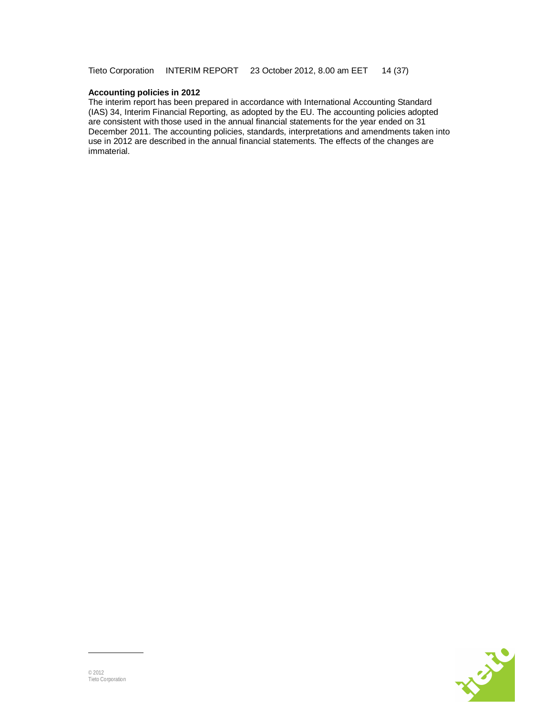### **Accounting policies in 2012**

The interim report has been prepared in accordance with International Accounting Standard (IAS) 34, Interim Financial Reporting, as adopted by the EU. The accounting policies adopted are consistent with those used in the annual financial statements for the year ended on 31 December 2011. The accounting policies, standards, interpretations and amendments taken into use in 2012 are described in the annual financial statements. The effects of the changes are immaterial.

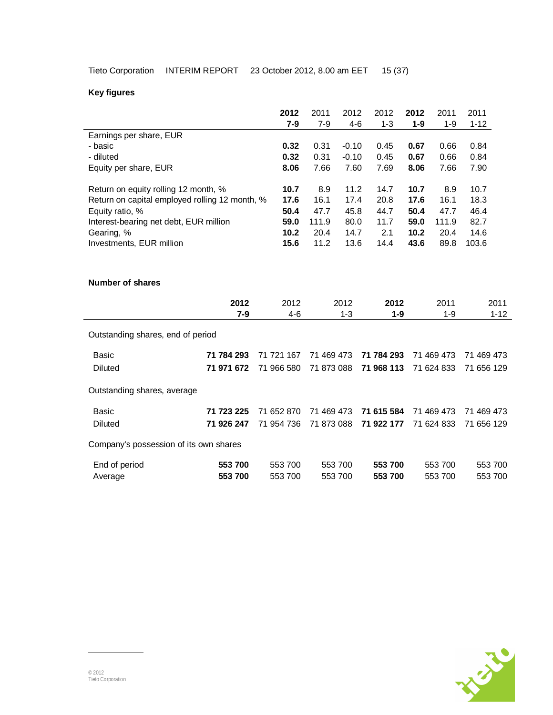# **Key figures**

|                                                |            | 2012       | 2011       | 2012    | 2012       | 2012  | 2011       | 2011       |          |
|------------------------------------------------|------------|------------|------------|---------|------------|-------|------------|------------|----------|
|                                                |            | $7-9$      | $7 - 9$    | $4-6$   | $1 - 3$    | $1-9$ | $1 - 9$    | $1 - 12$   |          |
| Earnings per share, EUR                        |            |            |            |         |            |       |            |            |          |
| - basic                                        |            | 0.32       | 0.31       | $-0.10$ | 0.45       | 0.67  | 0.66       | 0.84       |          |
| - diluted                                      |            | 0.32       | 0.31       | $-0.10$ | 0.45       | 0.67  | 0.66       | 0.84       |          |
| Equity per share, EUR                          |            | 8.06       | 7.66       | 7.60    | 7.69       | 8.06  | 7.66       | 7.90       |          |
|                                                |            |            |            |         |            |       |            |            |          |
| Return on equity rolling 12 month, %           |            | 10.7       | 8.9        | 11.2    | 14.7       | 10.7  | 8.9        | 10.7       |          |
| Return on capital employed rolling 12 month, % |            | 17.6       | 16.1       | 17.4    | 20.8       | 17.6  | 16.1       | 18.3       |          |
| Equity ratio, %                                |            | 50.4       | 47.7       | 45.8    | 44.7       | 50.4  | 47.7       | 46.4       |          |
| Interest-bearing net debt, EUR million         |            | 59.0       | 111.9      | 80.0    | 11.7       | 59.0  | 111.9      | 82.7       |          |
| Gearing, %                                     |            | 10.2       | 20.4       | 14.7    | 2.1        | 10.2  | 20.4       | 14.6       |          |
| Investments, EUR million                       |            | 15.6       | 11.2       | 13.6    | 14.4       | 43.6  | 89.8       | 103.6      |          |
|                                                |            |            |            |         |            |       |            |            |          |
|                                                |            |            |            |         |            |       |            |            |          |
| <b>Number of shares</b>                        |            |            |            |         |            |       |            |            |          |
|                                                |            |            |            |         |            |       |            |            |          |
|                                                | 2012       | 2012       |            | 2012    | 2012       |       | 2011       |            | 2011     |
|                                                | $7 - 9$    | $4 - 6$    |            | $1 - 3$ | $1 - 9$    |       | $1 - 9$    |            | $1 - 12$ |
| Outstanding shares, end of period              |            |            |            |         |            |       |            |            |          |
|                                                |            |            |            |         |            |       |            |            |          |
| <b>Basic</b>                                   | 71 784 293 | 71 721 167 | 71 469 473 |         | 71 784 293 |       | 71 469 473 | 71 469 473 |          |
| <b>Diluted</b>                                 | 71 971 672 | 71 966 580 | 71 873 088 |         | 71 968 113 |       | 71 624 833 | 71 656 129 |          |
|                                                |            |            |            |         |            |       |            |            |          |
| Outstanding shares, average                    |            |            |            |         |            |       |            |            |          |
|                                                |            |            |            |         |            |       |            |            |          |
| <b>Basic</b>                                   | 71 723 225 | 71 652 870 | 71 469 473 |         | 71 615 584 |       | 71 469 473 | 71 469 473 |          |
| Diluted                                        | 71 926 247 | 71 954 736 | 71 873 088 |         | 71 922 177 |       | 71 624 833 | 71 656 129 |          |
|                                                |            |            |            |         |            |       |            |            |          |
| Company's possession of its own shares         |            |            |            |         |            |       |            |            |          |
|                                                | 553 700    | 553 700    |            | 553 700 | 553 700    |       | 553 700    | 553 700    |          |
| End of period                                  | 553 700    | 553 700    |            | 553 700 | 553 700    |       | 553 700    | 553 700    |          |
| Average                                        |            |            |            |         |            |       |            |            |          |

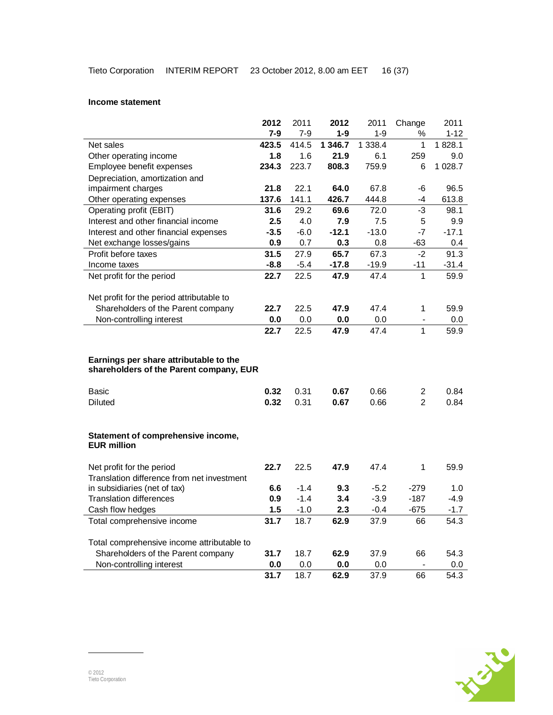#### **Income statement**

|                                                                         | 2012    | 2011   | 2012    | 2011      | Change                  | 2011     |
|-------------------------------------------------------------------------|---------|--------|---------|-----------|-------------------------|----------|
|                                                                         | $7-9$   | $7-9$  | $1 - 9$ | $1 - 9$   | ℅                       | $1 - 12$ |
| Net sales                                                               | 423.5   | 414.5  | 1 346.7 | 1 3 3 8.4 | 1                       | 1828.1   |
| Other operating income                                                  | 1.8     | 1.6    | 21.9    | 6.1       | 259                     | 9.0      |
| Employee benefit expenses                                               | 234.3   | 223.7  | 808.3   | 759.9     | 6                       | 1 028.7  |
| Depreciation, amortization and                                          |         |        |         |           |                         |          |
| impairment charges                                                      | 21.8    | 22.1   | 64.0    | 67.8      | -6                      | 96.5     |
| Other operating expenses                                                | 137.6   | 141.1  | 426.7   | 444.8     | -4                      | 613.8    |
| Operating profit (EBIT)                                                 | 31.6    | 29.2   | 69.6    | 72.0      | $-3$                    | 98.1     |
| Interest and other financial income                                     | $2.5\,$ | 4.0    | 7.9     | 7.5       | 5                       | 9.9      |
| Interest and other financial expenses                                   | $-3.5$  | $-6.0$ | $-12.1$ | $-13.0$   | $-7$                    | $-17.1$  |
| Net exchange losses/gains                                               | 0.9     | 0.7    | 0.3     | 0.8       | -63                     | 0.4      |
| Profit before taxes                                                     | 31.5    | 27.9   | 65.7    | 67.3      | $-2$                    | 91.3     |
| Income taxes                                                            | $-8.8$  | $-5.4$ | $-17.8$ | $-19.9$   | -11                     | $-31.4$  |
| Net profit for the period                                               | 22.7    | 22.5   | 47.9    | 47.4      | 1                       | 59.9     |
|                                                                         |         |        |         |           |                         |          |
| Net profit for the period attributable to                               |         |        |         |           |                         |          |
| Shareholders of the Parent company                                      | 22.7    | 22.5   | 47.9    | 47.4      | 1                       | 59.9     |
| Non-controlling interest                                                | 0.0     | 0.0    | 0.0     | 0.0       | $\blacksquare$          | 0.0      |
|                                                                         | 22.7    | 22.5   | 47.9    | 47.4      | 1                       | 59.9     |
|                                                                         |         |        |         |           |                         |          |
| Earnings per share attributable to the                                  |         |        |         |           |                         |          |
| shareholders of the Parent company, EUR                                 |         |        |         |           |                         |          |
|                                                                         |         |        |         |           |                         |          |
| Basic                                                                   | 0.32    | 0.31   | 0.67    | 0.66      | $\overline{\mathbf{c}}$ | 0.84     |
| <b>Diluted</b>                                                          | 0.32    | 0.31   | 0.67    | 0.66      | $\overline{2}$          | 0.84     |
|                                                                         |         |        |         |           |                         |          |
|                                                                         |         |        |         |           |                         |          |
| Statement of comprehensive income,                                      |         |        |         |           |                         |          |
| <b>EUR million</b>                                                      |         |        |         |           |                         |          |
|                                                                         |         |        |         |           |                         |          |
| Net profit for the period<br>Translation difference from net investment | 22.7    | 22.5   | 47.9    | 47.4      | 1                       | 59.9     |
| in subsidiaries (net of tax)                                            | 6.6     | $-1.4$ | 9.3     | $-5.2$    | $-279$                  | 1.0      |
| <b>Translation differences</b>                                          | 0.9     | $-1.4$ | 3.4     | $-3.9$    | $-187$                  | $-4.9$   |
| Cash flow hedges                                                        | 1.5     | $-1.0$ | 2.3     | $-0.4$    | $-675$                  | $-1.7$   |
| Total comprehensive income                                              | 31.7    | 18.7   | 62.9    | 37.9      | 66                      | 54.3     |
|                                                                         |         |        |         |           |                         |          |
| Total comprehensive income attributable to                              |         |        |         |           |                         |          |
| Shareholders of the Parent company                                      | 31.7    | 18.7   | 62.9    | 37.9      | 66                      | 54.3     |
| Non-controlling interest                                                | 0.0     | 0.0    | 0.0     | 0.0       |                         | 0.0      |
|                                                                         | 31.7    | 18.7   | 62.9    | 37.9      | 66                      | 54.3     |

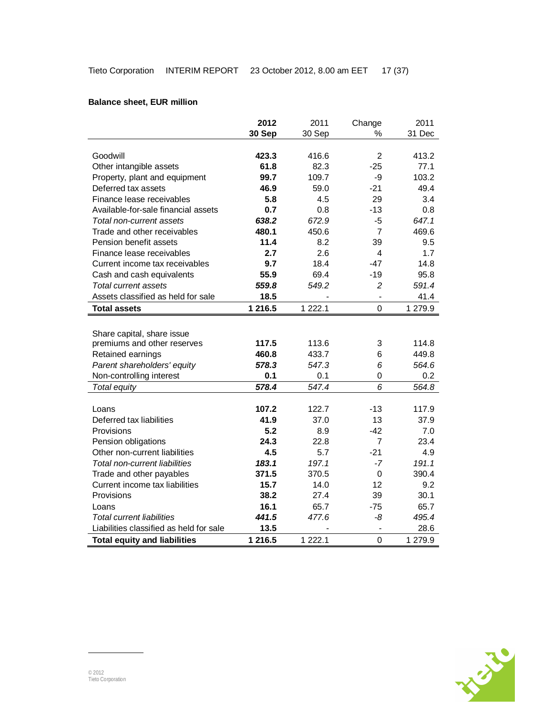# **Balance sheet, EUR million**

|                                         | 2012    | 2011        | Change         | 2011    |
|-----------------------------------------|---------|-------------|----------------|---------|
|                                         | 30 Sep  | 30 Sep      | ℅              | 31 Dec  |
|                                         |         |             |                |         |
| Goodwill                                | 423.3   | 416.6       | $\overline{2}$ | 413.2   |
| Other intangible assets                 | 61.8    | 82.3        | $-25$          | 77.1    |
| Property, plant and equipment           | 99.7    | 109.7       | -9             | 103.2   |
| Deferred tax assets                     | 46.9    | 59.0        | $-21$          | 49.4    |
| Finance lease receivables               | 5.8     | 4.5         | 29             | 3.4     |
| Available-for-sale financial assets     | 0.7     | 0.8         | $-13$          | 0.8     |
| Total non-current assets                | 638.2   | 672.9       | $-5$           | 647.1   |
| Trade and other receivables             | 480.1   | 450.6       | $\overline{7}$ | 469.6   |
| Pension benefit assets                  | 11.4    | 8.2         | 39             | 9.5     |
| Finance lease receivables               | 2.7     | 2.6         | 4              | 1.7     |
| Current income tax receivables          | 9.7     | 18.4        | $-47$          | 14.8    |
| Cash and cash equivalents               | 55.9    | 69.4        | $-19$          | 95.8    |
| Total current assets                    | 559.8   | 549.2       | $\overline{c}$ | 591.4   |
| Assets classified as held for sale      | 18.5    |             |                | 41.4    |
| <b>Total assets</b>                     | 1 216.5 | 1 2 2 2 . 1 | $\mathbf 0$    | 1 279.9 |
|                                         |         |             |                |         |
| Share capital, share issue              |         |             |                |         |
| premiums and other reserves             | 117.5   | 113.6       | 3              | 114.8   |
| Retained earnings                       | 460.8   | 433.7       | 6              | 449.8   |
| Parent shareholders' equity             | 578.3   | 547.3       | 6              | 564.6   |
| Non-controlling interest                | 0.1     | 0.1         | 0              | 0.2     |
| Total equity                            | 578.4   | 547.4       | 6              | 564.8   |
|                                         |         |             |                |         |
| Loans                                   | 107.2   | 122.7       | $-13$          | 117.9   |
| Deferred tax liabilities                | 41.9    | 37.0        | 13             | 37.9    |
| Provisions                              | 5.2     | 8.9         | $-42$          | 7.0     |
| Pension obligations                     | 24.3    | 22.8        | $\overline{7}$ | 23.4    |
| Other non-current liabilities           | 4.5     | 5.7         | $-21$          | 4.9     |
| Total non-current liabilities           | 183.1   | 197.1       | $-7$           | 191.1   |
| Trade and other payables                | 371.5   | 370.5       | $\mathbf 0$    | 390.4   |
| Current income tax liabilities          | 15.7    | 14.0        | 12             | 9.2     |
| Provisions                              | 38.2    | 27.4        | 39             | 30.1    |
| Loans                                   | 16.1    | 65.7        | $-75$          | 65.7    |
| <b>Total current liabilities</b>        | 441.5   | 477.6       | -8             | 495.4   |
| Liabilities classified as held for sale | 13.5    |             |                | 28.6    |
| <b>Total equity and liabilities</b>     | 1 216.5 | 1 2 2 2 . 1 | $\overline{0}$ | 1 279.9 |

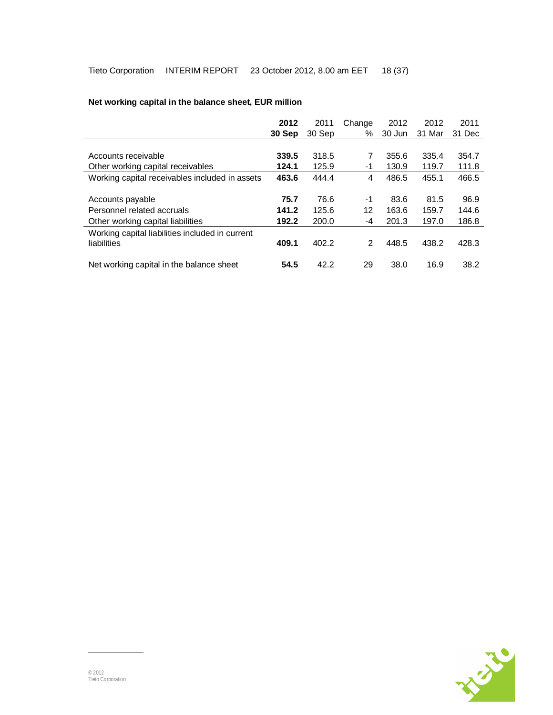|                                                                | 2012   | 2011   | Change | 2012   | 2012   | 2011   |
|----------------------------------------------------------------|--------|--------|--------|--------|--------|--------|
|                                                                | 30 Sep | 30 Sep | ℅      | 30 Jun | 31 Mar | 31 Dec |
|                                                                |        |        |        |        |        |        |
| Accounts receivable                                            | 339.5  | 318.5  | 7      | 355.6  | 335.4  | 354.7  |
| Other working capital receivables                              | 124.1  | 125.9  | -1     | 130.9  | 119.7  | 111.8  |
| Working capital receivables included in assets                 | 463.6  | 444.4  | 4      | 486.5  | 455.1  | 466.5  |
|                                                                |        |        |        |        |        |        |
| Accounts payable                                               | 75.7   | 76.6   | $-1$   | 83.6   | 81.5   | 96.9   |
| Personnel related accruals                                     | 141.2  | 125.6  | 12     | 163.6  | 159.7  | 144.6  |
| Other working capital liabilities                              | 192.2  | 200.0  | -4     | 201.3  | 197.0  | 186.8  |
| Working capital liabilities included in current<br>liabilities | 409.1  | 402.2  | 2      | 448.5  | 438.2  | 428.3  |
| Net working capital in the balance sheet                       | 54.5   | 42.2   | 29     | 38.0   | 16.9   | 38.2   |

# **Net working capital in the balance sheet, EUR million**

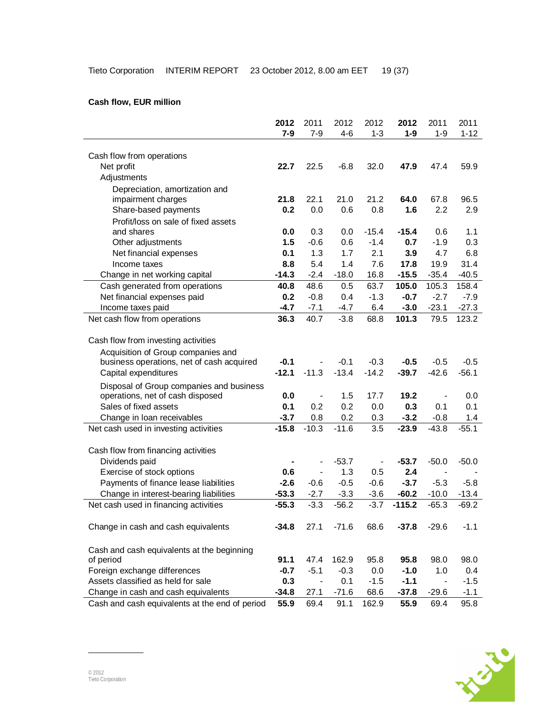# **2012** 2011 2012 2012 **2012** 2011 2011 **7-9** 7-9 4-6 1-3 **1-9** 1-9 1-12 Cash flow from operations Net profit **22.7** 22.5 -6.8 32.0 **47.9** 47.4 59.9 Adjustments Depreciation, amortization and impairment charges **21.8** 22.1 21.0 21.2 **64.0** 67.8 96.5 Share-based payments **0.2** 0.0 0.6 0.8 **1.6** 2.2 2.9 Profit/loss on sale of fixed assets and shares **0.0** 0.3 0.0 -15.4 **-15.4** 0.6 1.1 Other adjustments **1.5** -0.6 0.6 -1.4 **0.7** -1.9 0.3 Net financial expenses **0.1** 1.3 1.7 2.1 **3.9** 4.7 6.8 Income taxes **8.8** 5.4 1.4 7.6 **17.8** 19.9 31.4 Change in net working capital **-14.3** -2.4 -18.0 16.8 **-15.5** -35.4 -40.5 Cash generated from operations **40.8** 48.6 0.5 63.7 **105.0** 105.3 158.4 Net financial expenses paid **0.2** -0.8 0.4 -1.3 **-0.7** -2.7 -7.9 Income taxes paid **-4.7** -7.1 -4.7 6.4 **-3.0** -23.1 -27.3 Net cash flow from operations **36.3** 40.7 -3.8 68.8 **101.3** 79.5 123.2 Cash flow from investing activities Acquisition of Group companies and business operations, net of cash acquired **-0.1** - -0.1 -0.3 **-0.5** -0.5 -0.5 Capital expenditures **-12.1** -11.3 -13.4 -14.2 **-39.7** -42.6 -56.1 Disposal of Group companies and business operations, net of cash disposed **0.0** - 1.5 17.7 **19.2** - 0.0 Sales of fixed assets **0.1** 0.2 0.2 0.0 **0.3** 0.1 0.1 Change in loan receivables **-3.7** 0.8 0.2 0.3 **-3.2** -0.8 1.4 Net cash used in investing activities **-15.8** -10.3 -11.6 3.5 **-23.9** -43.8 -55.1 Cash flow from financing activities Dividends paid **-** - -53.7 - **-53.7** -50.0 -50.0 Exercise of stock options **0.6** - 1.3 0.5 **2.4** - - Payments of finance lease liabilities **-2.6** -0.6 -0.5 -0.6 **-3.7** -5.3 -5.8 Change in interest-bearing liabilities **-53.3** -2.7 -3.3 -3.6 **-60.2** -10.0 -13.4 Net cash used in financing activities **-55.3** -3.3 -56.2 -3.7 **-115.2** -65.3 -69.2 Change in cash and cash equivalents **-34.8** 27.1 -71.6 68.6 **-37.8** -29.6 -1.1 Cash and cash equivalents at the beginning of period **91.1** 47.4 162.9 95.8 **95.8** 98.0 98.0 Foreign exchange differences **-0.7** -5.1 -0.3 0.0 **-1.0** 1.0 0.4 Assets classified as held for sale **0.3** - 0.1 -1.5 **-1.1** - -1.5 Change in cash and cash equivalents **-34.8** 27.1 -71.6 68.6 **-37.8** -29.6 -1.1 Cash and cash equivalents at the end of period **55.9** 69.4 91.1 162.9 **55.9** 69.4 95.8

#### **Cash flow, EUR million**

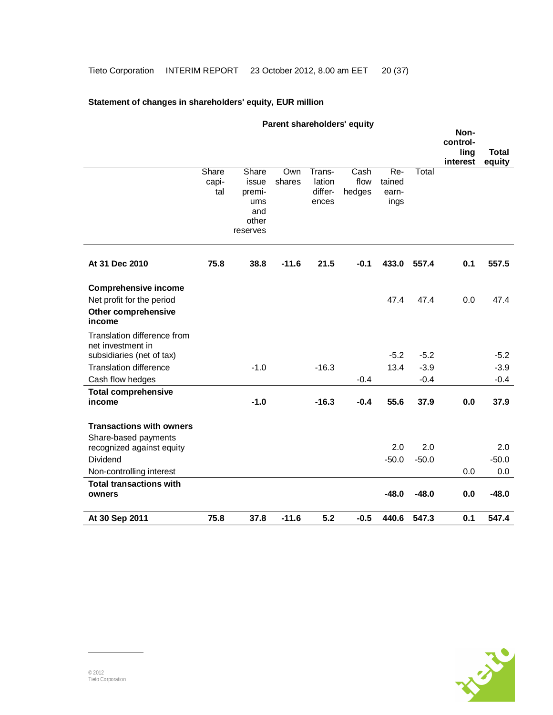# **Statement of changes in shareholders' equity, EUR million**

|                                                            |              |                 |         |                   | Parent shareholders' equity |                 |         |                  |              |
|------------------------------------------------------------|--------------|-----------------|---------|-------------------|-----------------------------|-----------------|---------|------------------|--------------|
|                                                            |              |                 |         |                   |                             |                 |         | Non-<br>control- |              |
|                                                            |              |                 |         |                   |                             |                 |         | ling             | <b>Total</b> |
|                                                            |              |                 |         |                   |                             |                 |         | interest         | equity       |
|                                                            | Share        | Share           | Own     | Trans-            | Cash                        | $Re-$           | Total   |                  |              |
|                                                            | capi-<br>tal | issue<br>premi- | shares  | lation<br>differ- | flow<br>hedges              | tained<br>earn- |         |                  |              |
|                                                            |              | ums             |         | ences             |                             | ings            |         |                  |              |
|                                                            |              | and             |         |                   |                             |                 |         |                  |              |
|                                                            |              | other           |         |                   |                             |                 |         |                  |              |
|                                                            |              | reserves        |         |                   |                             |                 |         |                  |              |
| At 31 Dec 2010                                             | 75.8         | 38.8            | $-11.6$ | 21.5              | $-0.1$                      | 433.0           | 557.4   | 0.1              | 557.5        |
|                                                            |              |                 |         |                   |                             |                 |         |                  |              |
| <b>Comprehensive income</b>                                |              |                 |         |                   |                             |                 |         |                  |              |
| Net profit for the period                                  |              |                 |         |                   |                             | 47.4            | 47.4    | 0.0              | 47.4         |
| <b>Other comprehensive</b>                                 |              |                 |         |                   |                             |                 |         |                  |              |
| income                                                     |              |                 |         |                   |                             |                 |         |                  |              |
| Translation difference from                                |              |                 |         |                   |                             |                 |         |                  |              |
| net investment in                                          |              |                 |         |                   |                             | $-5.2$          | $-5.2$  |                  | $-5.2$       |
| subsidiaries (net of tax)<br><b>Translation difference</b> |              | $-1.0$          |         | $-16.3$           |                             | 13.4            | $-3.9$  |                  | $-3.9$       |
| Cash flow hedges                                           |              |                 |         |                   | $-0.4$                      |                 | $-0.4$  |                  | $-0.4$       |
| <b>Total comprehensive</b>                                 |              |                 |         |                   |                             |                 |         |                  |              |
| income                                                     |              | $-1.0$          |         | $-16.3$           | $-0.4$                      | 55.6            | 37.9    | 0.0              | 37.9         |
| <b>Transactions with owners</b>                            |              |                 |         |                   |                             |                 |         |                  |              |
| Share-based payments                                       |              |                 |         |                   |                             |                 |         |                  |              |
| recognized against equity                                  |              |                 |         |                   |                             | 2.0             | 2.0     |                  | 2.0          |
| Dividend                                                   |              |                 |         |                   |                             | $-50.0$         | $-50.0$ |                  | $-50.0$      |
| Non-controlling interest                                   |              |                 |         |                   |                             |                 |         | 0.0              | 0.0          |
| <b>Total transactions with</b>                             |              |                 |         |                   |                             |                 |         |                  |              |
| owners                                                     |              |                 |         |                   |                             | $-48.0$         | $-48.0$ | 0.0              | $-48.0$      |
| At 30 Sep 2011                                             | 75.8         | 37.8            | $-11.6$ | 5.2               | $-0.5$                      | 440.6           | 547.3   | 0.1              | 547.4        |

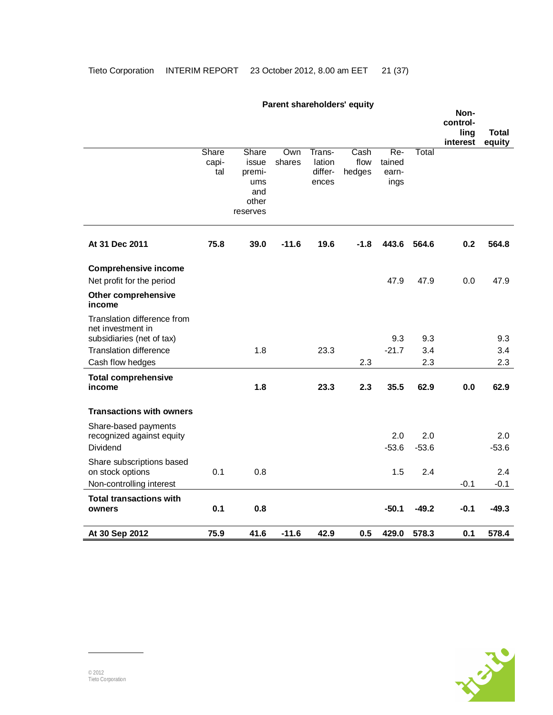|                                                                               |                       |                                                             | , a, o,, c,, a, o,, o, ao, o |                                      |                        |                                  |         | Non-<br>control-<br>ling | Total   |
|-------------------------------------------------------------------------------|-----------------------|-------------------------------------------------------------|------------------------------|--------------------------------------|------------------------|----------------------------------|---------|--------------------------|---------|
|                                                                               |                       |                                                             |                              |                                      |                        |                                  |         | interest                 | equity  |
|                                                                               | Share<br>capi-<br>tal | Share<br>issue<br>premi-<br>ums<br>and<br>other<br>reserves | Own<br>shares                | Trans-<br>lation<br>differ-<br>ences | Cash<br>flow<br>hedges | $Re-$<br>tained<br>earn-<br>ings | Total   |                          |         |
| At 31 Dec 2011                                                                | 75.8                  | 39.0                                                        | $-11.6$                      | 19.6                                 | $-1.8$                 | 443.6                            | 564.6   | 0.2                      | 564.8   |
| <b>Comprehensive income</b><br>Net profit for the period                      |                       |                                                             |                              |                                      |                        | 47.9                             | 47.9    | 0.0                      | 47.9    |
| <b>Other comprehensive</b><br>income                                          |                       |                                                             |                              |                                      |                        |                                  |         |                          |         |
| Translation difference from<br>net investment in<br>subsidiaries (net of tax) |                       |                                                             |                              |                                      |                        | 9.3                              | 9.3     |                          | 9.3     |
| <b>Translation difference</b>                                                 |                       | 1.8                                                         |                              | 23.3                                 |                        | $-21.7$                          | 3.4     |                          | 3.4     |
| Cash flow hedges                                                              |                       |                                                             |                              |                                      | 2.3                    |                                  | 2.3     |                          | 2.3     |
| <b>Total comprehensive</b><br>income                                          |                       | 1.8                                                         |                              | 23.3                                 | 2.3                    | 35.5                             | 62.9    | 0.0                      | 62.9    |
| <b>Transactions with owners</b>                                               |                       |                                                             |                              |                                      |                        |                                  |         |                          |         |
| Share-based payments<br>recognized against equity                             |                       |                                                             |                              |                                      |                        | 2.0                              | 2.0     |                          | 2.0     |
| Dividend                                                                      |                       |                                                             |                              |                                      |                        | $-53.6$                          | $-53.6$ |                          | $-53.6$ |
| Share subscriptions based<br>on stock options                                 | 0.1                   | 0.8                                                         |                              |                                      |                        | 1.5                              | 2.4     |                          | 2.4     |
| Non-controlling interest                                                      |                       |                                                             |                              |                                      |                        |                                  |         | $-0.1$                   | $-0.1$  |
| <b>Total transactions with</b><br>owners                                      | 0.1                   | 0.8                                                         |                              |                                      |                        | $-50.1$                          | $-49.2$ | $-0.1$                   | $-49.3$ |
| At 30 Sep 2012                                                                | 75.9                  | 41.6                                                        | $-11.6$                      | 42.9                                 | 0.5                    | 429.0                            | 578.3   | 0.1                      | 578.4   |

# **Parent shareholders' equity**

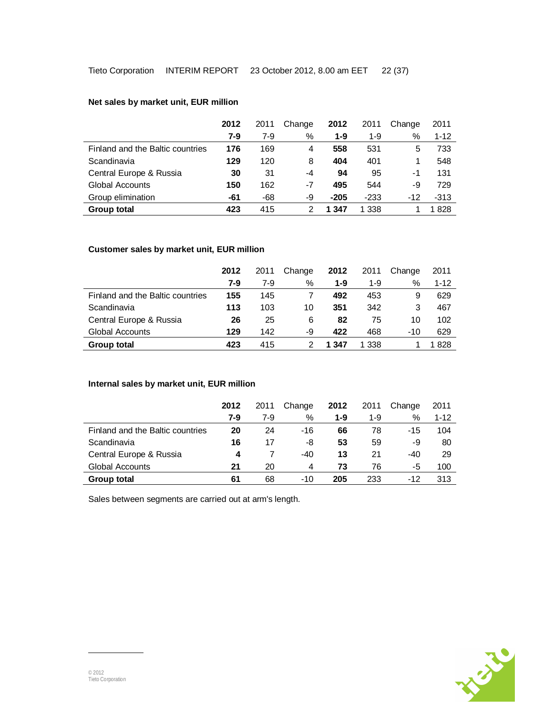# **Net sales by market unit, EUR million**

|                                  | 2012 | 2011  | Change | 2012    | 2011    | Change | 2011     |
|----------------------------------|------|-------|--------|---------|---------|--------|----------|
|                                  | 7-9  | $7-9$ | %      | $1 - 9$ | $1-9$   | %      | $1 - 12$ |
| Finland and the Baltic countries | 176  | 169   | 4      | 558     | 531     | 5      | 733      |
| Scandinavia                      | 129  | 120   | 8      | 404     | 401     |        | 548      |
| Central Europe & Russia          | 30   | 31    | -4     | 94      | 95      | -1     | 131      |
| <b>Global Accounts</b>           | 150  | 162   | -7     | 495     | 544     | -9     | 729      |
| Group elimination                | -61  | -68   | -9     | $-205$  | $-233$  | $-12$  | $-313$   |
| <b>Group total</b>               | 423  | 415   |        | 1 347   | 1 3 3 8 |        | 1828     |

# **Customer sales by market unit, EUR million**

|                                  | 2012 | 2011  | Change | 2012  | 2011  | Change | 2011     |
|----------------------------------|------|-------|--------|-------|-------|--------|----------|
|                                  | 7-9  | $7-9$ | %      | 1-9   | 1-9   | $\%$   | $1 - 12$ |
| Finland and the Baltic countries | 155  | 145   |        | 492   | 453   | 9      | 629      |
| Scandinavia                      | 113  | 103   | 10     | 351   | 342   | 3      | 467      |
| Central Europe & Russia          | 26   | 25    | 6      | 82    | 75    | 10     | 102      |
| <b>Global Accounts</b>           | 129  | 142   | -9     | 422   | 468   | $-10$  | 629      |
| Group total                      | 423  | 415   |        | 1 347 | 1 338 |        | 1828     |

## **Internal sales by market unit, EUR million**

|                                  | 2012 | 2011  | Change | 2012 | 2011  | Change | 2011     |
|----------------------------------|------|-------|--------|------|-------|--------|----------|
|                                  | 7-9  | $7-9$ | %      | 1-9  | $1-9$ | %      | $1 - 12$ |
| Finland and the Baltic countries | 20   | 24    | $-16$  | 66   | 78    | -15    | 104      |
| Scandinavia                      | 16   | 17    | -8     | 53   | 59    | -9     | 80       |
| Central Europe & Russia          | 4    |       | $-40$  | 13   | 21    | $-40$  | -29      |
| Global Accounts                  | 21   | 20    | 4      | 73   | 76    | -5     | 100      |
| Group total                      | 61   | 68    | -10    | 205  | 233   | $-12$  | 313      |

Sales between segments are carried out at arm's length.

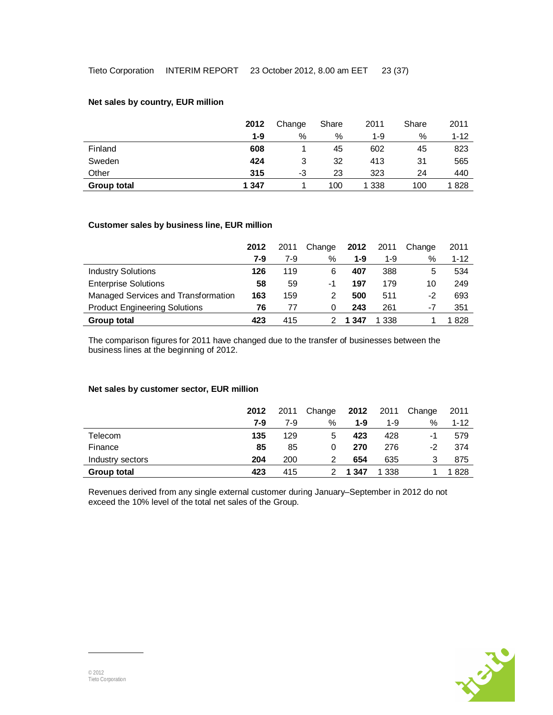## **Net sales by country, EUR million**

|                    | 2012  | Change | Share | 2011  | Share | 2011     |
|--------------------|-------|--------|-------|-------|-------|----------|
|                    | 1-9   | $\%$   | $\%$  | 1-9   | $\%$  | $1 - 12$ |
| Finland            | 608   |        | 45    | 602   | 45    | 823      |
| Sweden             | 424   | 3      | 32    | 413   | 31    | 565      |
| Other              | 315   | -3     | 23    | 323   | 24    | 440      |
| <b>Group total</b> | 1 347 |        | 100   | 1 338 | 100   | 1828     |

## **Customer sales by business line, EUR million**

|                                      | 2012 | 2011 | Change | 2012    | 2011  | Change | 2011     |
|--------------------------------------|------|------|--------|---------|-------|--------|----------|
|                                      | 7-9  | 7-9  | $\%$   | $1 - 9$ | $1-9$ | $\%$   | $1 - 12$ |
| <b>Industry Solutions</b>            | 126  | 119  | 6      | 407     | 388   | 5      | 534      |
| <b>Enterprise Solutions</b>          | 58   | 59   | -1     | 197     | 179   | 10     | 249      |
| Managed Services and Transformation  | 163  | 159  |        | 500     | 511   | -2     | 693      |
| <b>Product Engineering Solutions</b> | 76   | 77   | 0      | 243     | 261   | -7     | 351      |
| Group total                          | 423  | 415  |        | 347     | ∣338  |        | 1828     |

The comparison figures for 2011 have changed due to the transfer of businesses between the business lines at the beginning of 2012.

#### **Net sales by customer sector, EUR million**

|                  | 2012 | 2011 | Change | 2012    | 2011  | Change        | 2011     |
|------------------|------|------|--------|---------|-------|---------------|----------|
|                  | 7-9  | 7-9  | %      | $1 - 9$ | $1-9$ | $\frac{0}{0}$ | $1 - 12$ |
| Telecom          | 135  | 129  | 5.     | 423     | 428   | -1            | 579      |
| Finance          | 85   | 85   | 0      | 270     | 276   | -2            | 374      |
| Industry sectors | 204  | 200  |        | 654     | 635   | 3             | 875      |
| Group total      | 423  | 415  |        | 1 347   | 1 338 |               | 1828     |

Revenues derived from any single external customer during January–September in 2012 do not exceed the 10% level of the total net sales of the Group.

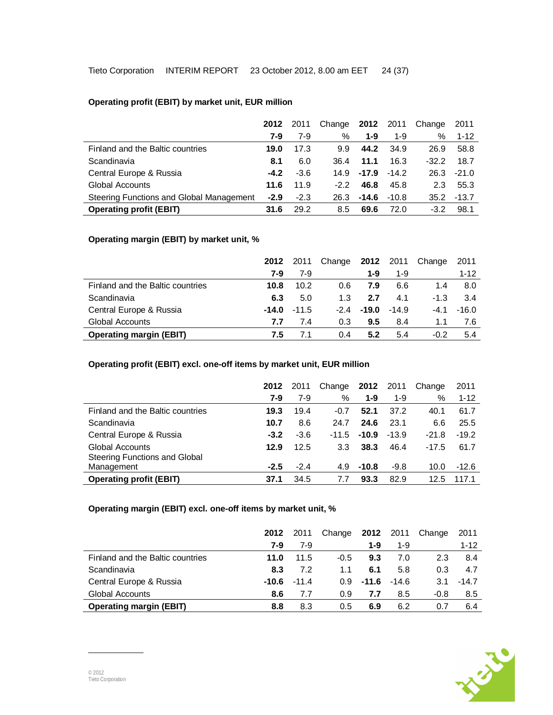# **Operating profit (EBIT) by market unit, EUR million**

|                                          | 2012   | 2011   | Change | 2012    | 2011    | Change  | 2011     |
|------------------------------------------|--------|--------|--------|---------|---------|---------|----------|
|                                          | 7-9    | 7-9    | %      | $1 - 9$ | $1 - 9$ | $\%$    | $1 - 12$ |
| Finland and the Baltic countries         | 19.0   | 17.3   | 9.9    | 44.2    | 34.9    | 26.9    | 58.8     |
| Scandinavia                              | 8.1    | 6.0    | 36.4   | 11.1    | 16.3    | $-32.2$ | 18.7     |
| Central Europe & Russia                  | $-4.2$ | $-3.6$ | 14.9   | $-17.9$ | $-14.2$ | 26.3    | $-21.0$  |
| Global Accounts                          | 11.6   | 11.9   | $-2.2$ | 46.8    | 45.8    | 2.3     | 55.3     |
| Steering Functions and Global Management | $-2.9$ | $-2.3$ | 26.3   | -14.6   | $-10.8$ | 35.2    | $-13.7$  |
| <b>Operating profit (EBIT)</b>           | 31.6   | 29.2   | 8.5    | 69.6    | 72.0    | $-3.2$  | 98.1     |

## **Operating margin (EBIT) by market unit, %**

|                                  | 2012    | 2011    | Change |         | <b>2012</b> 2011 | Change | 2011     |
|----------------------------------|---------|---------|--------|---------|------------------|--------|----------|
|                                  | 7-9     | 7-9     |        | 1-9     | 1-9              |        | $1 - 12$ |
| Finland and the Baltic countries | 10.8    | 10.2    | 0.6    | 7.9     | 6.6              | 1.4    | 8.0      |
| Scandinavia                      | 6.3     | 5.0     | 1.3    | 2.7     | 4.1              | $-1.3$ | 3.4      |
| Central Europe & Russia          | $-14.0$ | $-11.5$ | $-2.4$ | $-19.0$ | $-14.9$          | -4.1   | $-16.0$  |
| <b>Global Accounts</b>           | 7.7     | 7.4     | 0.3    | 9.5     | 8.4              | 1.1    | 7.6      |
| <b>Operating margin (EBIT)</b>   | 7.5     | 7.1     | 0.4    | 5.2     | 5.4              | $-0.2$ | 5.4      |

# **Operating profit (EBIT) excl. one-off items by market unit, EUR million**

|                                      | 2012   | 2011   | Change  | <b>2012</b> 2011 |         | Change  | 2011     |
|--------------------------------------|--------|--------|---------|------------------|---------|---------|----------|
|                                      | 7-9    | $7-9$  | %       | $1 - 9$          | $1 - 9$ | %       | $1 - 12$ |
| Finland and the Baltic countries     | 19.3   | 19.4   | $-0.7$  | 52.1             | 37.2    | 40.1    | 61.7     |
| Scandinavia                          | 10.7   | 8.6    | 24.7    | 24.6             | 23.1    | 6.6     | 25.5     |
| Central Europe & Russia              | $-3.2$ | $-3.6$ | $-11.5$ | $-10.9$          | $-13.9$ | $-21.8$ | $-19.2$  |
| <b>Global Accounts</b>               | 12.9   | 12.5   | 3.3     | 38.3             | 46.4    | $-17.5$ | 61.7     |
| <b>Steering Functions and Global</b> |        |        |         |                  |         |         |          |
| Management                           | $-2.5$ | $-2.4$ | 4.9     | $-10.8$          | $-9.8$  | 10.0    | $-12.6$  |
| <b>Operating profit (EBIT)</b>       | 37.1   | 34.5   | 7.7     | 93.3             | 82.9    | 12.5    | 117.1    |

# **Operating margin (EBIT) excl. one-off items by market unit, %**

|                                  | 2012 | 2011           | Change           | 2012    | 2011    | Change | 2011     |
|----------------------------------|------|----------------|------------------|---------|---------|--------|----------|
|                                  | 7-9  | 7-9            |                  | $1 - 9$ | 1-9     |        | $1 - 12$ |
| Finland and the Baltic countries | 11.0 | 11.5           | $-0.5$           | 9.3     | 7.0     | 2.3    | 8.4      |
| Scandinavia                      | 8.3  | 7.2            | 1.1              | 6.1     | 5.8     | 0.3    | 4.7      |
| Central Europe & Russia          |      | $-10.6 - 11.4$ | 0.9 <sup>°</sup> | -11.6   | $-14.6$ | 3.1    | $-14.7$  |
| <b>Global Accounts</b>           | 8.6  | 7.7            | 0.9              | 7.7     | 8.5     | $-0.8$ | 8.5      |
| <b>Operating margin (EBIT)</b>   | 8.8  | 8.3            | 0.5              | 6.9     | 6.2     | 0.7    | 6.4      |

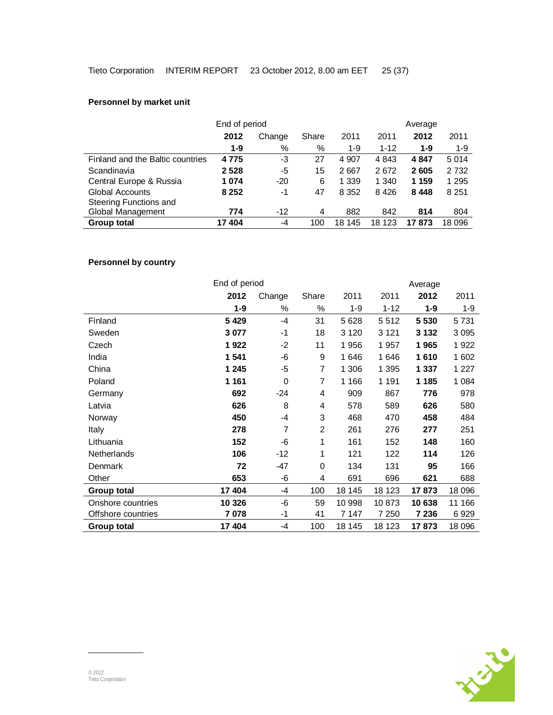# **Personnel by market unit**

|                                  | End of period |        |       | Average | 2011<br>$1-9$<br>5014 |         |         |
|----------------------------------|---------------|--------|-------|---------|-----------------------|---------|---------|
|                                  | 2012          | Change | Share | 2011    | 2011                  | 2012    |         |
|                                  | $1 - 9$       | %      | %     | $1 - 9$ | $1 - 12$              | $1 - 9$ |         |
| Finland and the Baltic countries | 4775          | -3     | 27    | 4 9 0 7 | 4843                  | 4847    |         |
| Scandinavia                      | 2528          | -5     | 15    | 2 6 6 7 | 2672                  | 2605    | 2 7 3 2 |
| Central Europe & Russia          | 1074          | $-20$  | 6     | 1 3 3 9 | 1 340                 | 1 159   | 1 2 9 5 |
| <b>Global Accounts</b>           | 8 2 5 2       | -1     | 47    | 8 3 5 2 | 8426                  | 8 4 4 8 | 8 2 5 1 |
| Steering Functions and           |               |        |       |         |                       |         |         |
| Global Management                | 774           | $-12$  | 4     | 882     | 842                   | 814     | 804     |
| <b>Group total</b>               | 17404         | -4     | 100   | 18 145  | 18 123                | 17873   | 18 096  |

# **Personnel by country**

|                    |         | End of period  |                |         |          |         | Average |  |  |  |
|--------------------|---------|----------------|----------------|---------|----------|---------|---------|--|--|--|
|                    | 2012    | Change         | Share          | 2011    | 2011     | 2012    | 2011    |  |  |  |
|                    | $1-9$   | %              | $\%$           | $1 - 9$ | $1 - 12$ | $1 - 9$ | $1 - 9$ |  |  |  |
| Finland            | 5 4 2 9 | $-4$           | 31             | 5628    | 5512     | 5 5 3 0 | 5731    |  |  |  |
| Sweden             | 3 0 7 7 | $-1$           | 18             | 3 1 2 0 | 3 1 2 1  | 3 1 3 2 | 3 0 9 5 |  |  |  |
| Czech              | 1922    | $-2$           | 11             | 1956    | 1957     | 1965    | 1922    |  |  |  |
| India              | 1 541   | -6             | 9              | 1646    | 1646     | 1610    | 1 602   |  |  |  |
| China              | 1 2 4 5 | -5             | $\overline{7}$ | 1 306   | 1 3 9 5  | 1 337   | 1 2 2 7 |  |  |  |
| Poland             | 1 1 6 1 | 0              | 7              | 1 1 6 6 | 1 1 9 1  | 1 1 8 5 | 1 0 8 4 |  |  |  |
| Germany            | 692     | $-24$          | 4              | 909     | 867      | 776     | 978     |  |  |  |
| Latvia             | 626     | 8              | 4              | 578     | 589      | 626     | 580     |  |  |  |
| Norway             | 450     | $-4$           | 3              | 468     | 470      | 458     | 484     |  |  |  |
| Italy              | 278     | $\overline{7}$ | $\overline{2}$ | 261     | 276      | 277     | 251     |  |  |  |
| Lithuania          | 152     | -6             | 1              | 161     | 152      | 148     | 160     |  |  |  |
| Netherlands        | 106     | $-12$          | 1              | 121     | 122      | 114     | 126     |  |  |  |
| Denmark            | 72      | -47            | 0              | 134     | 131      | 95      | 166     |  |  |  |
| Other              | 653     | -6             | 4              | 691     | 696      | 621     | 688     |  |  |  |
| Group total        | 17 404  | -4             | 100            | 18 145  | 18 123   | 17873   | 18 096  |  |  |  |
| Onshore countries  | 10 326  | -6             | 59             | 10 998  | 10873    | 10 638  | 11 166  |  |  |  |
| Offshore countries | 7 0 78  | $-1$           | 41             | 7 147   | 7 2 5 0  | 7 2 3 6 | 6929    |  |  |  |
| Group total        | 17 404  | -4             | 100            | 18 145  | 18 123   | 17873   | 18 096  |  |  |  |

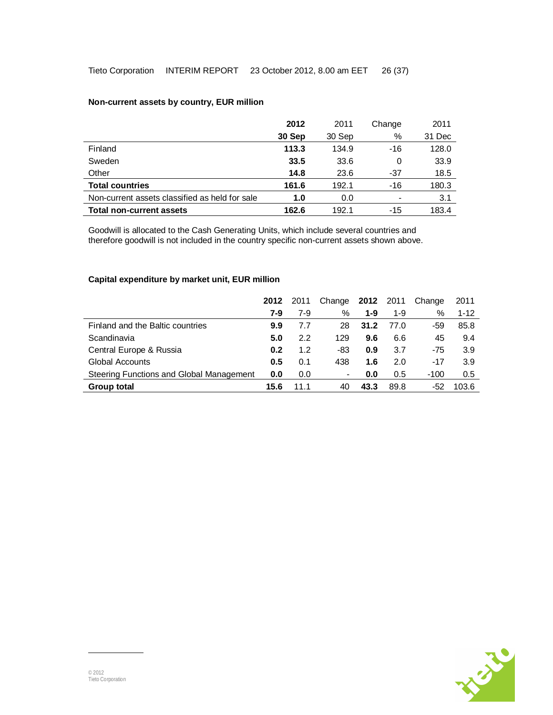## **Non-current assets by country, EUR million**

|                                                | 2012   | 2011   | Change                   | 2011   |
|------------------------------------------------|--------|--------|--------------------------|--------|
|                                                | 30 Sep | 30 Sep | %                        | 31 Dec |
| Finland                                        | 113.3  | 134.9  | $-16$                    | 128.0  |
| Sweden                                         | 33.5   | 33.6   | 0                        | 33.9   |
| Other                                          | 14.8   | 23.6   | -37                      | 18.5   |
| <b>Total countries</b>                         | 161.6  | 192.1  | $-16$                    | 180.3  |
| Non-current assets classified as held for sale | 1.0    | 0.0    | $\overline{\phantom{0}}$ | 3.1    |
| <b>Total non-current assets</b>                | 162.6  | 192.1  | $-15$                    | 183.4  |

Goodwill is allocated to the Cash Generating Units, which include several countries and therefore goodwill is not included in the country specific non-current assets shown above.

# **Capital expenditure by market unit, EUR million**

|                                          | 2012 | 2011 | Change 2012 2011 |         |       | Change | 2011     |
|------------------------------------------|------|------|------------------|---------|-------|--------|----------|
|                                          | 7-9  | 7-9  | %                | $1 - 9$ | $1-9$ | %      | $1 - 12$ |
| Finland and the Baltic countries         | 9.9  | 7.7  | 28               | 31.2    | 77.0  | -59    | 85.8     |
| Scandinavia                              | 5.0  | 2.2  | 129              | 9.6     | 6.6   | 45     | 9.4      |
| Central Europe & Russia                  | 0.2  | 1.2  | -83              | 0.9     | 3.7   | $-75$  | 3.9      |
| <b>Global Accounts</b>                   | 0.5  | 0.1  | 438              | 1.6     | 2.0   | $-17$  | 3.9      |
| Steering Functions and Global Management | 0.0  | 0.0  | -                | 0.0     | 0.5   | $-100$ | 0.5      |
| <b>Group total</b>                       | 15.6 | 11 1 | 40               | 43.3    | 89.8  | -52    | 103.6    |

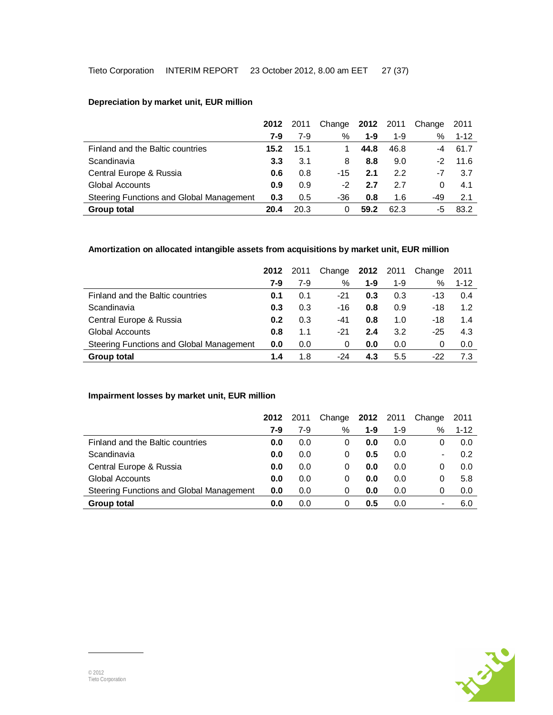|                                          | 2012 | 2011  | Change | 2012    | 2011  | Change | 2011     |
|------------------------------------------|------|-------|--------|---------|-------|--------|----------|
|                                          | 7-9  | $7-9$ | %      | $1 - 9$ | $1-9$ | %      | $1 - 12$ |
| Finland and the Baltic countries         | 15.2 | 15.1  |        | 44.8    | 46.8  | -4     | 61.7     |
| Scandinavia                              | 3.3  | 3.1   | 8      | 8.8     | 9.0   | $-2$   | 11.6     |
| Central Europe & Russia                  | 0.6  | 0.8   | $-15$  | 2.1     | 2.2   | -7     | 3.7      |
| <b>Global Accounts</b>                   | 0.9  | 0.9   | $-2$   | 2.7     | 27    | 0      | 4.1      |
| Steering Functions and Global Management | 0.3  | 0.5   | -36    | 0.8     | 1.6   | -49    | 2.1      |
| <b>Group total</b>                       | 20.4 | 20.3  |        | 59.2    | 62.3  | -5     | 83.2     |

# **Depreciation by market unit, EUR million**

# **Amortization on allocated intangible assets from acquisitions by market unit, EUR million**

|                                          | 2012 | 2011 | Change | <b>2012</b> 2011 |         | Change | 2011     |
|------------------------------------------|------|------|--------|------------------|---------|--------|----------|
|                                          | 7-9  | 7-9  | %      | 1-9              | $1 - 9$ | %      | $1 - 12$ |
| Finland and the Baltic countries         | 0.1  | 0.1  | -21    | 0.3              | 0.3     | $-13$  | 0.4      |
| Scandinavia                              | 0.3  | 0.3  | $-16$  | 0.8              | 0.9     | $-18$  | 1.2      |
| Central Europe & Russia                  | 0.2  | 0.3  | -41    | 0.8              | 1.0     | $-18$  | 1.4      |
| <b>Global Accounts</b>                   | 0.8  | 1.1  | $-21$  | 2.4              | 3.2     | $-25$  | 4.3      |
| Steering Functions and Global Management | 0.0  | 0.0  | 0      | 0.0              | 0.0     | 0      | 0.0      |
| <b>Group total</b>                       | 1.4  | 1.8  | -24    | 4.3              | 5.5     | -22    | 7.3      |

### **Impairment losses by market unit, EUR million**

|                                          | 2012 | 2011  | Change | <b>2012</b> 2011 |       | Change         | 2011     |
|------------------------------------------|------|-------|--------|------------------|-------|----------------|----------|
|                                          | 7-9  | $7-9$ | %      | $1 - 9$          | $1-9$ | %              | $1 - 12$ |
| Finland and the Baltic countries         | 0.0  | 0.0   | 0      | 0.0              | 0.0   | 0              | 0.0      |
| Scandinavia                              | 0.0  | 0.0   | 0      | 0.5              | 0.0   | $\blacksquare$ | 0.2      |
| Central Europe & Russia                  | 0.0  | 0.0   | 0      | 0.0              | 0.0   | 0              | 0.0      |
| <b>Global Accounts</b>                   | 0.0  | 0.0   | 0      | 0.0              | 0.0   | 0              | 5.8      |
| Steering Functions and Global Management | 0.0  | 0.0   | 0      | 0.0              | 0.0   | 0              | 0.0      |
| <b>Group total</b>                       | 0.0  | 0.0   | 0      | 0.5              | 0.0   | $\blacksquare$ | 6.0      |

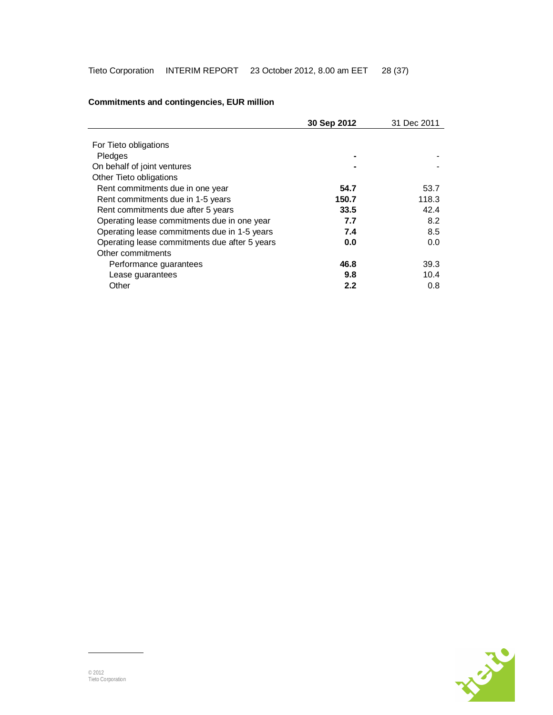|                                               | 30 Sep 2012 | 31 Dec 2011 |
|-----------------------------------------------|-------------|-------------|
|                                               |             |             |
| For Tieto obligations                         |             |             |
| Pledges                                       |             |             |
| On behalf of joint ventures                   |             |             |
| Other Tieto obligations                       |             |             |
| Rent commitments due in one year              | 54.7        | 53.7        |
| Rent commitments due in 1-5 years             | 150.7       | 118.3       |
| Rent commitments due after 5 years            | 33.5        | 42.4        |
| Operating lease commitments due in one year   | 7.7         | 8.2         |
| Operating lease commitments due in 1-5 years  | 7.4         | 8.5         |
| Operating lease commitments due after 5 years | 0.0         | 0.0         |
| Other commitments                             |             |             |
| Performance guarantees                        | 46.8        | 39.3        |
| Lease guarantees                              | 9.8         | 10.4        |
| Other                                         | 2.2         | 0.8         |

# **Commitments and contingencies, EUR million**

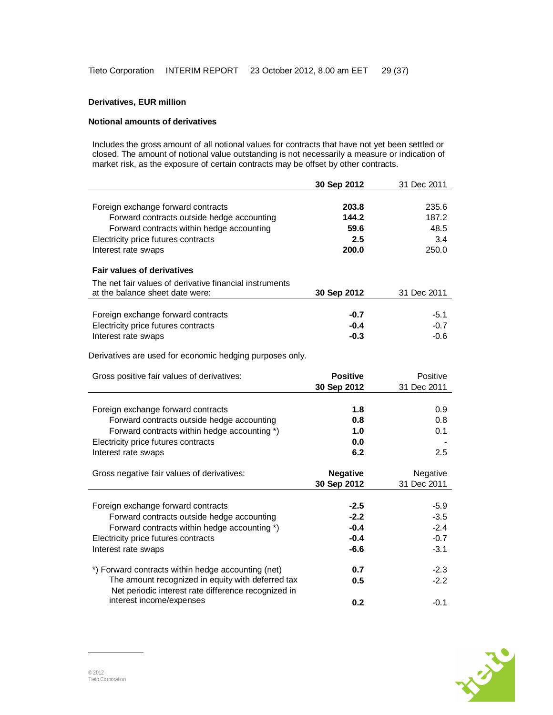# **Derivatives, EUR million**

### **Notional amounts of derivatives**

Includes the gross amount of all notional values for contracts that have not yet been settled or closed. The amount of notional value outstanding is not necessarily a measure or indication of market risk, as the exposure of certain contracts may be offset by other contracts.

|                                                                                                         | 30 Sep 2012     | 31 Dec 2011 |
|---------------------------------------------------------------------------------------------------------|-----------------|-------------|
|                                                                                                         |                 |             |
| Foreign exchange forward contracts                                                                      | 203.8           | 235.6       |
| Forward contracts outside hedge accounting                                                              | 144.2           | 187.2       |
| Forward contracts within hedge accounting                                                               | 59.6            | 48.5        |
| Electricity price futures contracts                                                                     | 2.5             | 3.4         |
| Interest rate swaps                                                                                     | 200.0           | 250.0       |
| <b>Fair values of derivatives</b>                                                                       |                 |             |
| The net fair values of derivative financial instruments                                                 |                 |             |
| at the balance sheet date were:                                                                         | 30 Sep 2012     | 31 Dec 2011 |
|                                                                                                         |                 |             |
| Foreign exchange forward contracts                                                                      | $-0.7$          | $-5.1$      |
| Electricity price futures contracts                                                                     | $-0.4$          | $-0.7$      |
| Interest rate swaps                                                                                     | $-0.3$          | $-0.6$      |
| Derivatives are used for economic hedging purposes only.                                                |                 |             |
|                                                                                                         |                 |             |
| Gross positive fair values of derivatives:                                                              | <b>Positive</b> | Positive    |
|                                                                                                         | 30 Sep 2012     | 31 Dec 2011 |
|                                                                                                         |                 |             |
| Foreign exchange forward contracts                                                                      | 1.8             | 0.9         |
| Forward contracts outside hedge accounting                                                              | 0.8             | 0.8         |
| Forward contracts within hedge accounting *)                                                            | 1.0             | 0.1         |
| Electricity price futures contracts                                                                     | 0.0             |             |
| Interest rate swaps                                                                                     | 6.2             | 2.5         |
| Gross negative fair values of derivatives:                                                              | <b>Negative</b> | Negative    |
|                                                                                                         | 30 Sep 2012     | 31 Dec 2011 |
|                                                                                                         |                 |             |
| Foreign exchange forward contracts                                                                      | -2.5            | $-5.9$      |
| Forward contracts outside hedge accounting                                                              | $-2.2$          | $-3.5$      |
| Forward contracts within hedge accounting *)                                                            | $-0.4$          | $-2.4$      |
| Electricity price futures contracts                                                                     | $-0.4$          | $-0.7$      |
| Interest rate swaps                                                                                     | $-6.6$          | $-3.1$      |
|                                                                                                         |                 | $-2.3$      |
| *) Forward contracts within hedge accounting (net)<br>The amount recognized in equity with deferred tax | 0.7             |             |
| Net periodic interest rate difference recognized in                                                     | 0.5             | $-2.2$      |
| interest income/expenses                                                                                | 0.2             | $-0.1$      |

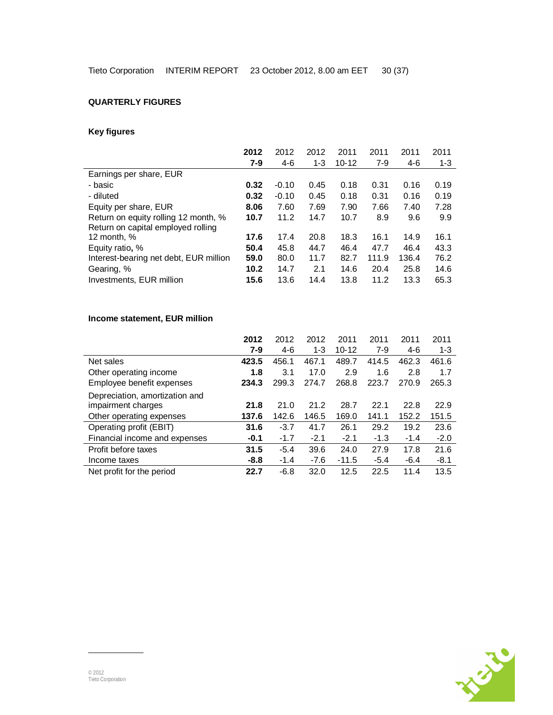# **QUARTERLY FIGURES**

# **Key figures**

|                                        | 2012  | 2012    | 2012    | 2011      | 2011  | 2011  | 2011    |
|----------------------------------------|-------|---------|---------|-----------|-------|-------|---------|
|                                        | $7-9$ | $4-6$   | $1 - 3$ | $10 - 12$ | $7-9$ | $4-6$ | $1 - 3$ |
| Earnings per share, EUR                |       |         |         |           |       |       |         |
| - basic                                | 0.32  | $-0.10$ | 0.45    | 0.18      | 0.31  | 0.16  | 0.19    |
| - diluted                              | 0.32  | $-0.10$ | 0.45    | 0.18      | 0.31  | 0.16  | 0.19    |
| Equity per share, EUR                  | 8.06  | 7.60    | 7.69    | 7.90      | 7.66  | 7.40  | 7.28    |
| Return on equity rolling 12 month, %   | 10.7  | 11.2    | 14.7    | 10.7      | 8.9   | 9.6   | 9.9     |
| Return on capital employed rolling     |       |         |         |           |       |       |         |
| 12 month, %                            | 17.6  | 17.4    | 20.8    | 18.3      | 16.1  | 14.9  | 16.1    |
| Equity ratio, %                        | 50.4  | 45.8    | 44.7    | 46.4      | 47.7  | 46.4  | 43.3    |
| Interest-bearing net debt, EUR million | 59.0  | 80.0    | 11.7    | 82.7      | 111.9 | 136.4 | 76.2    |
| Gearing, %                             | 10.2  | 14.7    | 2.1     | 14.6      | 20.4  | 25.8  | 14.6    |
| Investments, EUR million               | 15.6  | 13.6    | 14.4    | 13.8      | 11.2  | 13.3  | 65.3    |

# **Income statement, EUR million**

|                                                      | 2012    | 2012   | 2012    | 2011      | 2011   | 2011   | 2011    |
|------------------------------------------------------|---------|--------|---------|-----------|--------|--------|---------|
|                                                      | $7 - 9$ | 4-6    | $1 - 3$ | $10 - 12$ | $7-9$  | 4-6    | $1 - 3$ |
| Net sales                                            | 423.5   | 456.1  | 467.1   | 489.7     | 414.5  | 462.3  | 461.6   |
| Other operating income                               | 1.8     | 3.1    | 17.0    | 2.9       | 1.6    | 2.8    | 1.7     |
| Employee benefit expenses                            | 234.3   | 299.3  | 274.7   | 268.8     | 223.7  | 270.9  | 265.3   |
| Depreciation, amortization and<br>impairment charges | 21.8    | 21.0   | 21.2    | 28.7      | 22.1   | 22.8   | 22.9    |
| Other operating expenses                             | 137.6   | 142.6  | 146.5   | 169.0     | 141.1  | 152.2  | 151.5   |
| Operating profit (EBIT)                              | 31.6    | $-3.7$ | 41.7    | 26.1      | 29.2   | 19.2   | 23.6    |
| Financial income and expenses                        | $-0.1$  | $-1.7$ | $-2.1$  | $-2.1$    | $-1.3$ | $-1.4$ | $-2.0$  |
| Profit before taxes                                  | 31.5    | $-5.4$ | 39.6    | 24.0      | 27.9   | 17.8   | 21.6    |
| Income taxes                                         | $-8.8$  | $-1.4$ | $-7.6$  | $-11.5$   | $-5.4$ | $-6.4$ | $-8.1$  |
| Net profit for the period                            | 22.7    | $-6.8$ | 32.0    | 12.5      | 22.5   | 11.4   | 13.5    |

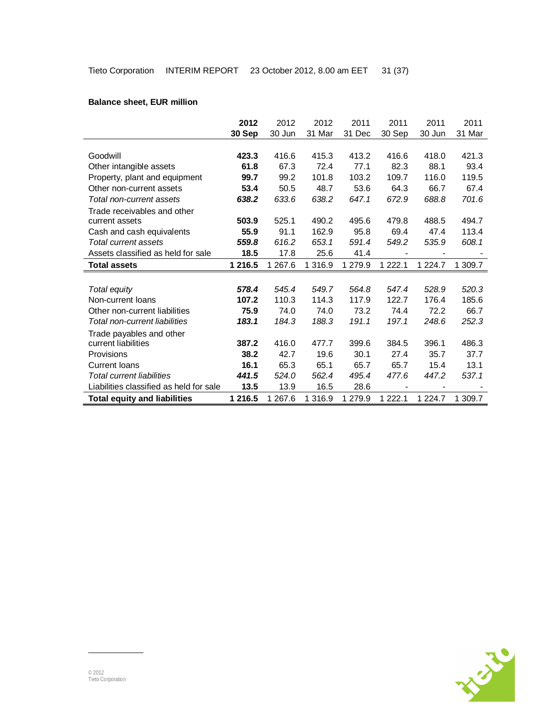# **Balance sheet, EUR million**

|                                         | 2012    | 2012    | 2012      | 2011    | 2011        | 2011        | 2011    |
|-----------------------------------------|---------|---------|-----------|---------|-------------|-------------|---------|
|                                         | 30 Sep  | 30 Jun  | 31 Mar    | 31 Dec  | 30 Sep      | 30 Jun      | 31 Mar  |
|                                         |         |         |           |         |             |             |         |
| Goodwill                                | 423.3   | 416.6   | 415.3     | 413.2   | 416.6       | 418.0       | 421.3   |
| Other intangible assets                 | 61.8    | 67.3    | 72.4      | 77.1    | 82.3        | 88.1        | 93.4    |
| Property, plant and equipment           | 99.7    | 99.2    | 101.8     | 103.2   | 109.7       | 116.0       | 119.5   |
| Other non-current assets                | 53.4    | 50.5    | 48.7      | 53.6    | 64.3        | 66.7        | 67.4    |
| Total non-current assets                | 638.2   | 633.6   | 638.2     | 647.1   | 672.9       | 688.8       | 701.6   |
| Trade receivables and other             |         |         |           |         |             |             |         |
| current assets                          | 503.9   | 525.1   | 490.2     | 495.6   | 479.8       | 488.5       | 494.7   |
| Cash and cash equivalents               | 55.9    | 91.1    | 162.9     | 95.8    | 69.4        | 47.4        | 113.4   |
| Total current assets                    | 559.8   | 616.2   | 653.1     | 591.4   | 549.2       | 535.9       | 608.1   |
| Assets classified as held for sale      | 18.5    | 17.8    | 25.6      | 41.4    |             |             |         |
| <b>Total assets</b>                     | 1 216.5 | 1 267.6 | 1 3 1 6.9 | 1 279.9 | 1 2 2 2 . 1 | 1 2 2 4 . 7 | 1 309.7 |
|                                         |         |         |           |         |             |             |         |
| Total equity                            | 578.4   | 545.4   | 549.7     | 564.8   | 547.4       | 528.9       | 520.3   |
| Non-current loans                       | 107.2   | 110.3   | 114.3     | 117.9   | 122.7       | 176.4       | 185.6   |
| Other non-current liabilities           | 75.9    | 74.0    | 74.0      | 73.2    | 74.4        | 72.2        | 66.7    |
| Total non-current liabilities           | 183.1   | 184.3   | 188.3     | 191.1   | 197.1       | 248.6       | 252.3   |
| Trade payables and other                |         |         |           |         |             |             |         |
| current liabilities                     | 387.2   | 416.0   | 477.7     | 399.6   | 384.5       | 396.1       | 486.3   |
| Provisions                              | 38.2    | 42.7    | 19.6      | 30.1    | 27.4        | 35.7        | 37.7    |
| <b>Current loans</b>                    | 16.1    | 65.3    | 65.1      | 65.7    | 65.7        | 15.4        | 13.1    |
| Total current liabilities               | 441.5   | 524.0   | 562.4     | 495.4   | 477.6       | 447.2       | 537.1   |
| Liabilities classified as held for sale |         |         |           | 28.6    |             |             |         |
|                                         | 13.5    | 13.9    | 16.5      |         |             |             |         |

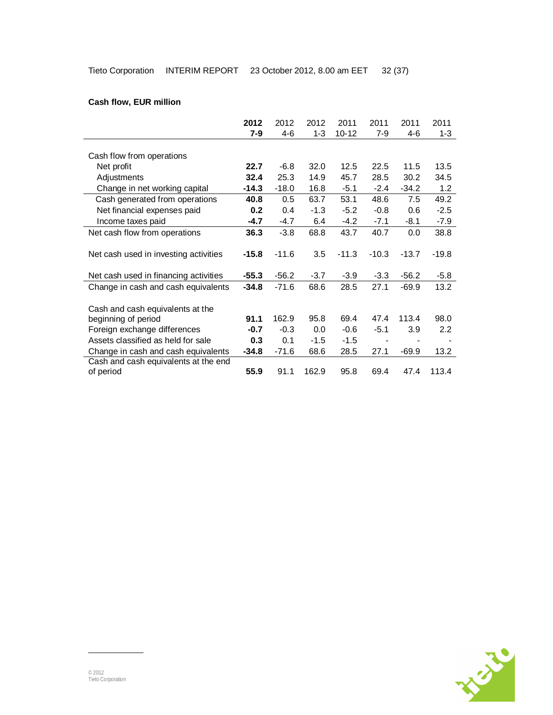# **Cash flow, EUR million**

|                                       | 2012    | 2012    | 2012    | 2011      | 2011    | 2011    | 2011    |
|---------------------------------------|---------|---------|---------|-----------|---------|---------|---------|
|                                       | 7-9     | 4-6     | $1 - 3$ | $10 - 12$ | $7 - 9$ | 4-6     | $1 - 3$ |
|                                       |         |         |         |           |         |         |         |
| Cash flow from operations             |         |         |         |           |         |         |         |
| Net profit                            | 22.7    | $-6.8$  | 32.0    | 12.5      | 22.5    | 11.5    | 13.5    |
| Adjustments                           | 32.4    | 25.3    | 14.9    | 45.7      | 28.5    | 30.2    | 34.5    |
| Change in net working capital         | $-14.3$ | $-18.0$ | 16.8    | $-5.1$    | $-2.4$  | $-34.2$ | 1.2     |
| Cash generated from operations        | 40.8    | 0.5     | 63.7    | 53.1      | 48.6    | 7.5     | 49.2    |
| Net financial expenses paid           | 0.2     | 0.4     | $-1.3$  | $-5.2$    | $-0.8$  | 0.6     | $-2.5$  |
| Income taxes paid                     | $-4.7$  | $-4.7$  | 6.4     | $-4.2$    | $-7.1$  | $-8.1$  | $-7.9$  |
| Net cash flow from operations         | 36.3    | $-3.8$  | 68.8    | 43.7      | 40.7    | 0.0     | 38.8    |
|                                       |         |         |         |           |         |         |         |
| Net cash used in investing activities | $-15.8$ | $-11.6$ | 3.5     | $-11.3$   | $-10.3$ | $-13.7$ | $-19.8$ |
|                                       |         |         |         |           |         |         |         |
| Net cash used in financing activities | $-55.3$ | $-56.2$ | $-3.7$  | $-3.9$    | $-3.3$  | $-56.2$ | $-5.8$  |
| Change in cash and cash equivalents   | $-34.8$ | $-71.6$ | 68.6    | 28.5      | 27.1    | -69.9   | 13.2    |
|                                       |         |         |         |           |         |         |         |
| Cash and cash equivalents at the      |         |         |         |           |         |         |         |
| beginning of period                   | 91.1    | 162.9   | 95.8    | 69.4      | 47.4    | 113.4   | 98.0    |
| Foreign exchange differences          | $-0.7$  | $-0.3$  | 0.0     | $-0.6$    | $-5.1$  | 3.9     | 2.2     |
| Assets classified as held for sale    | 0.3     | 0.1     | $-1.5$  | $-1.5$    |         |         |         |
| Change in cash and cash equivalents   | $-34.8$ | $-71.6$ | 68.6    | 28.5      | 27.1    | $-69.9$ | 13.2    |
| Cash and cash equivalents at the end  |         |         |         |           |         |         |         |
| of period                             | 55.9    | 91.1    | 162.9   | 95.8      | 69.4    | 47.4    | 113.4   |

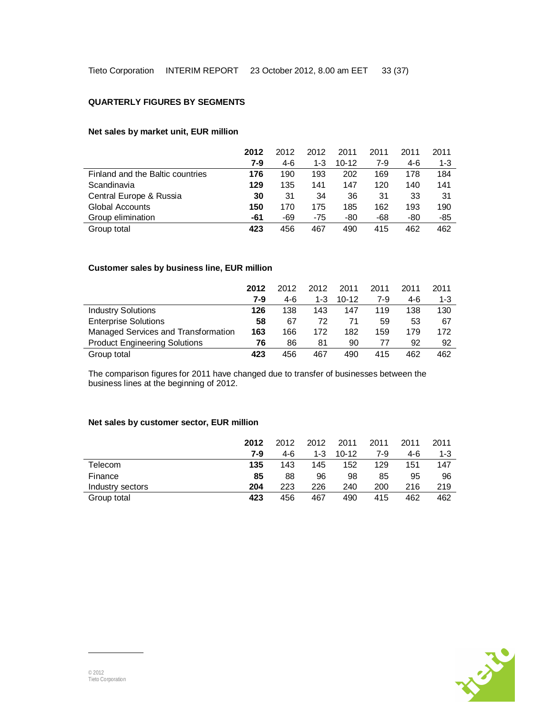### **QUARTERLY FIGURES BY SEGMENTS**

## **Net sales by market unit, EUR million**

|                                  | 2012  | 2012 | 2012  | 2011      | 2011 | 2011 | 2011    |
|----------------------------------|-------|------|-------|-----------|------|------|---------|
|                                  | $7-9$ | 4-6  | 1-3   | $10 - 12$ | 7-9  | 4-6  | $1 - 3$ |
| Finland and the Baltic countries | 176   | 190  | 193   | 202       | 169  | 178  | 184     |
| Scandinavia                      | 129   | 135  | 141   | 147       | 120  | 140  | 141     |
| Central Europe & Russia          | 30    | 31   | 34    | 36        | 31   | 33   | 31      |
| Global Accounts                  | 150   | 170  | 175   | 185       | 162  | 193  | 190     |
| Group elimination                | -61   | -69  | $-75$ | -80       | -68  | -80  | -85     |
| Group total                      | 423   | 456  | 467   | 490       | 415  | 462  | 462     |

# **Customer sales by business line, EUR million**

|                                      | 2012  | 2012 | 2012  | 2011      | 2011  | 2011 | 2011    |
|--------------------------------------|-------|------|-------|-----------|-------|------|---------|
|                                      | $7-9$ | 4-6  | $1-3$ | $10 - 12$ | $7-9$ | 4-6  | $1 - 3$ |
| <b>Industry Solutions</b>            | 126   | 138  | 143   | 147       | 119   | 138  | 130     |
| <b>Enterprise Solutions</b>          | 58    | 67   | 72    | 71        | 59    | 53   | 67      |
| Managed Services and Transformation  | 163   | 166  | 172   | 182       | 159   | 179  | 172     |
| <b>Product Engineering Solutions</b> | 76    | 86   | 81    | 90        | 77    | 92   | 92      |
| Group total                          | 423   | 456  | 467   | 490       | 415   | 462  | 462     |

The comparison figures for 2011 have changed due to transfer of businesses between the business lines at the beginning of 2012.

## **Net sales by customer sector, EUR million**

|                  | 2012 | 2012 | 2012  | 2011      | 2011 | 2011 | 2011 |
|------------------|------|------|-------|-----------|------|------|------|
|                  | 7-9  | 4-6  | $1-3$ | $10 - 12$ | 7-9  | 4-6  | 1-3  |
| Telecom          | 135  | 143  | 145   | 152       | 129  | 151  | 147  |
| Finance          | 85   | 88   | 96    | 98        | 85   | 95   | 96   |
| Industry sectors | 204  | 223  | 226   | 240       | 200  | 216  | 219  |
| Group total      | 423  | 456  | 467   | 490       | 415  | 462  | 462  |

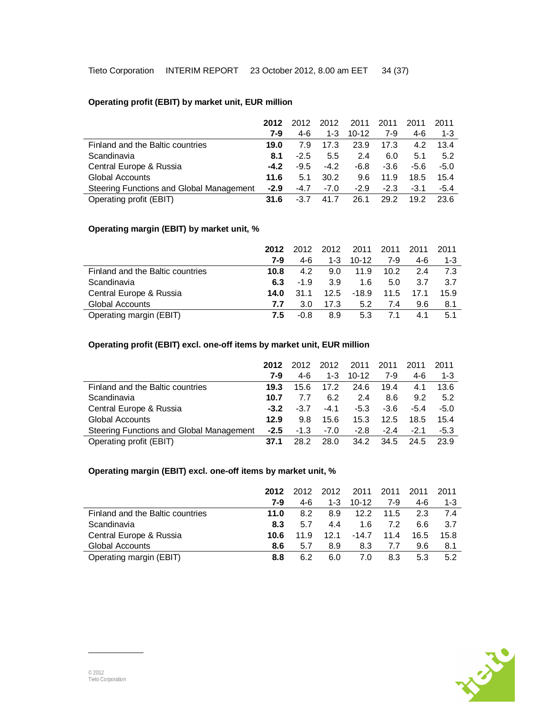# **Operating profit (EBIT) by market unit, EUR million**

|                                          | 2012   | 2012   | 2012    | 2011      | 2011   | 2011   | 2011    |
|------------------------------------------|--------|--------|---------|-----------|--------|--------|---------|
|                                          | 7-9    | 4-6    | $1 - 3$ | $10 - 12$ | 7-9    | 4-6    | $1 - 3$ |
| Finland and the Baltic countries         | 19.0   | 7.9    | 17.3    | 23.9      | 17.3   | 4.2    | 13.4    |
| Scandinavia                              | 8.1    | $-2.5$ | 5.5     | 2.4       | 6.0    | 5.1    | 5.2     |
| Central Europe & Russia                  | $-4.2$ | $-9.5$ | $-4.2$  | -6.8      | $-3.6$ | -5.6   | $-5.0$  |
| <b>Global Accounts</b>                   | 11.6   | 5.1    | 30.2    | 9.6       | 11.9   | 18.5   | 15.4    |
| Steering Functions and Global Management | $-2.9$ | $-4.7$ | $-7.0$  | $-2.9$    | $-2.3$ | $-3.1$ | $-5.4$  |
| Operating profit (EBIT)                  | 31.6   | $-3.7$ | 41.7    | 26.1      | 29.2   | 19.2   | 23.6    |

## **Operating margin (EBIT) by market unit, %**

|                                  | 2012 | 2012   | 2012 | 2011    | 2011 | 2011 | 2011 |
|----------------------------------|------|--------|------|---------|------|------|------|
|                                  | 7-9  | 4-6    | 1-3  | $10-12$ | 7-9  | 4-6  | 1-3  |
| Finland and the Baltic countries | 10.8 | 4.2    | 9.0  | 11.9    | 10.2 | 2.4  | -7.3 |
| Scandinavia                      | 6.3  | $-1.9$ | 3.9  | 1.6     | 5.0  | 3.7  | 3.7  |
| Central Europe & Russia          | 14.0 | 31.1   | 12.5 | $-18.9$ | 11.5 | 17.1 | 15.9 |
| <b>Global Accounts</b>           | 7.7  | 3.0    | 17.3 | 5.2     | 7.4  | 9.6  | 8.1  |
| Operating margin (EBIT)          | 7.5  | -0.8   | 8.9  | 5.3     | 71   | 4.1  | 5.1  |

### **Operating profit (EBIT) excl. one-off items by market unit, EUR million**

|                                          | 2012   | 2012   | 2012    | 2011      | 2011   | 2011   | 2011    |
|------------------------------------------|--------|--------|---------|-----------|--------|--------|---------|
|                                          | 7-9    | 4-6    | $1 - 3$ | $10 - 12$ | 7-9    | 4-6    | $1 - 3$ |
| Finland and the Baltic countries         | 19.3   | 15.6   | 17.2    | 24.6      | 19.4   | 4.1    | 13.6    |
| Scandinavia                              | 10.7   | 7.7    | 6.2     | 2.4       | 8.6    | 9.2    | 5.2     |
| Central Europe & Russia                  | $-3.2$ | $-3.7$ | $-4.1$  | $-5.3$    | $-3.6$ | $-5.4$ | $-5.0$  |
| <b>Global Accounts</b>                   | 12.9   | 9.8    | 15.6    | 15.3      | 12.5   | 18.5   | 15.4    |
| Steering Functions and Global Management | $-2.5$ | $-1.3$ | $-7.0$  | $-2.8$    | $-2.4$ | $-2.1$ | $-5.3$  |
| Operating profit (EBIT)                  | 37.1   | 28.2   | 28.0    | 34.2      | 34.5   | 24.5   | 23.9    |

# **Operating margin (EBIT) excl. one-off items by market unit, %**

|                                  | 2012 | 2012 | 2012    | 2011      | 2011 | 2011 | 2011    |
|----------------------------------|------|------|---------|-----------|------|------|---------|
|                                  | 7-9  | 4-6  | $1 - 3$ | $10 - 12$ | 7-9  | 4-6  | $1 - 3$ |
| Finland and the Baltic countries | 11.0 | 8.2  | 8.9     | 12.2      | 11.5 | 2.3  | -74     |
| Scandinavia                      | 8.3  | 5.7  | 4.4     | 1.6       | 7.2  | 6.6  | 3.7     |
| Central Europe & Russia          | 10.6 | 11.9 | 12.1    | $-14.7$   | 11.4 | 16.5 | 15.8    |
| Global Accounts                  | 8.6  | 5.7  | 8.9     | 8.3       | 7.7  | 9.6  | 8.1     |
| Operating margin (EBIT)          | 8.8  | 6.2  | 6.0     | 7.0       | 8.3  | 5.3  | 5.2     |

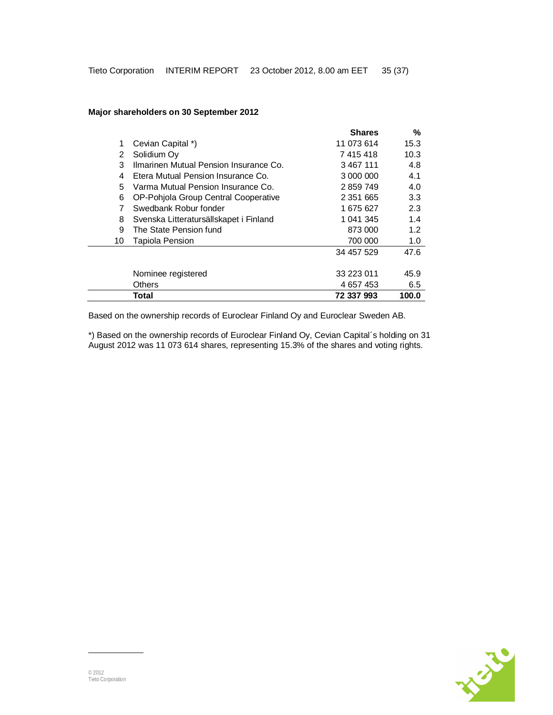### **Major shareholders on 30 September 2012**

|    |                                        | <b>Shares</b> | $\frac{0}{0}$ |
|----|----------------------------------------|---------------|---------------|
| 1  | Cevian Capital *)                      | 11 073 614    | 15.3          |
| 2  | Solidium Oy                            | 7 415 418     | 10.3          |
| 3  | Ilmarinen Mutual Pension Insurance Co. | 3 467 111     | 4.8           |
| 4  | Etera Mutual Pension Insurance Co.     | 3 000 000     | 4.1           |
| 5  | Varma Mutual Pension Insurance Co.     | 2859749       | 4.0           |
| 6  | OP-Pohjola Group Central Cooperative   | 2 3 5 1 6 6 5 | 3.3           |
| 7  | Swedbank Robur fonder                  | 1 675 627     | 2.3           |
| 8  | Svenska Litteratursällskapet i Finland | 1 041 345     | 1.4           |
| 9  | The State Pension fund                 | 873 000       | 1.2           |
| 10 | Tapiola Pension                        | 700 000       | 1.0           |
|    |                                        | 34 457 529    | 47.6          |
|    |                                        |               |               |
|    | Nominee registered                     | 33 223 011    | 45.9          |
|    | <b>Others</b>                          | 4 657 453     | 6.5           |
|    | Total                                  | 72 337 993    | 100.0         |

Based on the ownership records of Euroclear Finland Oy and Euroclear Sweden AB.

\*) Based on the ownership records of Euroclear Finland Oy, Cevian Capital´s holding on 31 August 2012 was 11 073 614 shares, representing 15.3% of the shares and voting rights.

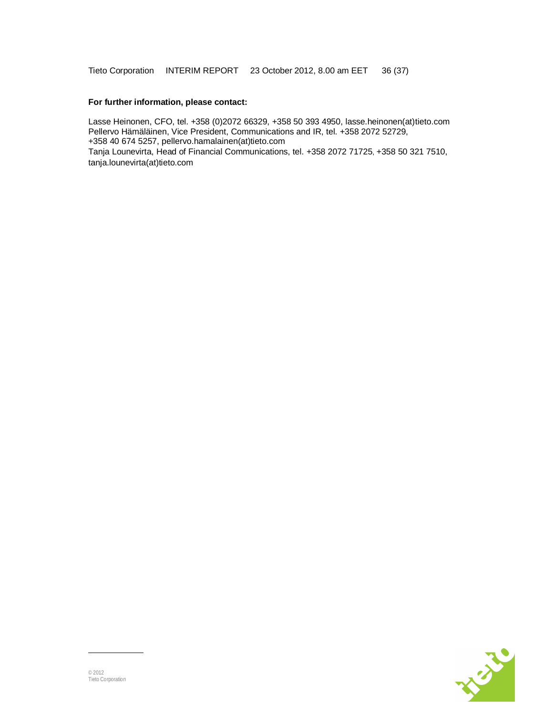Tieto Corporation INTERIM REPORT 23 October 2012, 8.00 am EET 36 (37)

### **For further information, please contact:**

Lasse Heinonen, CFO, tel. +358 (0)2072 66329, +358 50 393 4950, lasse.heinonen(at)tieto.com Pellervo Hämäläinen, Vice President, Communications and IR, tel. +358 2072 52729, +358 40 674 5257, pellervo.hamalainen(at)tieto.com Tanja Lounevirta, Head of Financial Communications, tel. +358 2072 71725, +358 50 321 7510, tanja.lounevirta(at)tieto.com